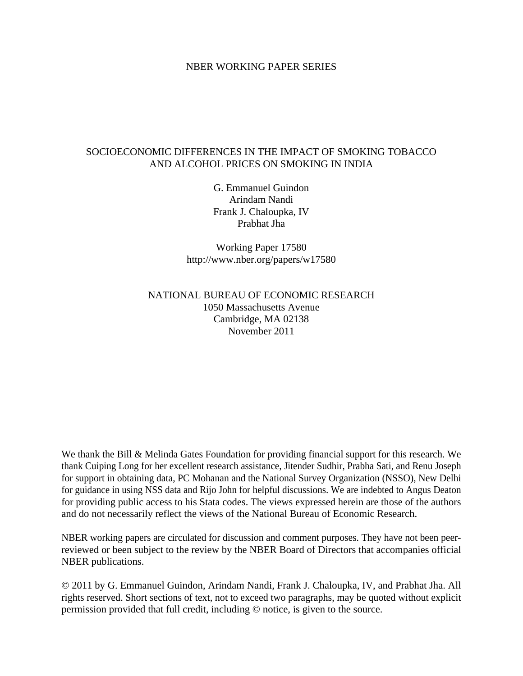#### NBER WORKING PAPER SERIES

## SOCIOECONOMIC DIFFERENCES IN THE IMPACT OF SMOKING TOBACCO AND ALCOHOL PRICES ON SMOKING IN INDIA

G. Emmanuel Guindon Arindam Nandi Frank J. Chaloupka, IV Prabhat Jha

Working Paper 17580 http://www.nber.org/papers/w17580

## NATIONAL BUREAU OF ECONOMIC RESEARCH 1050 Massachusetts Avenue Cambridge, MA 02138 November 2011

We thank the Bill & Melinda Gates Foundation for providing financial support for this research. We thank Cuiping Long for her excellent research assistance, Jitender Sudhir, Prabha Sati, and Renu Joseph for support in obtaining data, PC Mohanan and the National Survey Organization (NSSO), New Delhi for guidance in using NSS data and Rijo John for helpful discussions. We are indebted to Angus Deaton for providing public access to his Stata codes. The views expressed herein are those of the authors and do not necessarily reflect the views of the National Bureau of Economic Research.

NBER working papers are circulated for discussion and comment purposes. They have not been peerreviewed or been subject to the review by the NBER Board of Directors that accompanies official NBER publications.

© 2011 by G. Emmanuel Guindon, Arindam Nandi, Frank J. Chaloupka, IV, and Prabhat Jha. All rights reserved. Short sections of text, not to exceed two paragraphs, may be quoted without explicit permission provided that full credit, including © notice, is given to the source.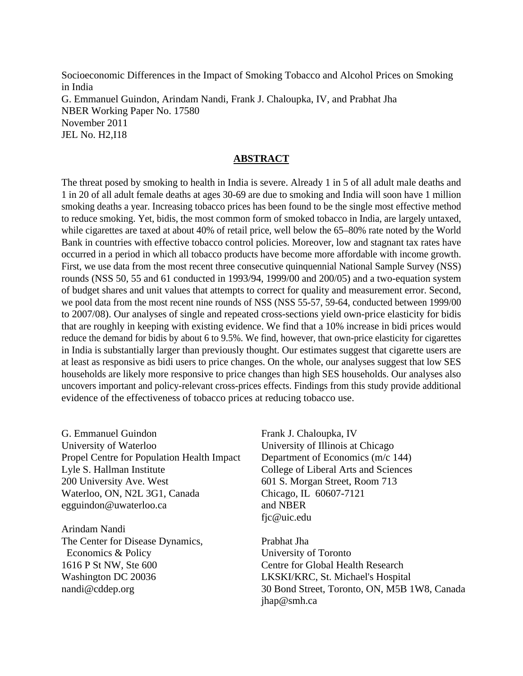Socioeconomic Differences in the Impact of Smoking Tobacco and Alcohol Prices on Smoking in India G. Emmanuel Guindon, Arindam Nandi, Frank J. Chaloupka, IV, and Prabhat Jha NBER Working Paper No. 17580 November 2011 JEL No. H2,I18

#### **ABSTRACT**

The threat posed by smoking to health in India is severe. Already 1 in 5 of all adult male deaths and 1 in 20 of all adult female deaths at ages 30-69 are due to smoking and India will soon have 1 million smoking deaths a year. Increasing tobacco prices has been found to be the single most effective method to reduce smoking. Yet, bidis, the most common form of smoked tobacco in India, are largely untaxed, while cigarettes are taxed at about 40% of retail price, well below the 65–80% rate noted by the World Bank in countries with effective tobacco control policies. Moreover, low and stagnant tax rates have occurred in a period in which all tobacco products have become more affordable with income growth. First, we use data from the most recent three consecutive quinquennial National Sample Survey (NSS) rounds (NSS 50, 55 and 61 conducted in 1993/94, 1999/00 and 200/05) and a two-equation system of budget shares and unit values that attempts to correct for quality and measurement error. Second, we pool data from the most recent nine rounds of NSS (NSS 55-57, 59-64, conducted between 1999/00 to 2007/08). Our analyses of single and repeated cross-sections yield own-price elasticity for bidis that are roughly in keeping with existing evidence. We find that a 10% increase in bidi prices would reduce the demand for bidis by about 6 to 9.5%. We find, however, that own-price elasticity for cigarettes in India is substantially larger than previously thought. Our estimates suggest that cigarette users are at least as responsive as bidi users to price changes. On the whole, our analyses suggest that low SES households are likely more responsive to price changes than high SES households. Our analyses also uncovers important and policy-relevant cross-prices effects. Findings from this study provide additional evidence of the effectiveness of tobacco prices at reducing tobacco use.

G. Emmanuel Guindon University of Waterloo Propel Centre for Population Health Impact Lyle S. Hallman Institute 200 University Ave. West Waterloo, ON, N2L 3G1, Canada egguindon@uwaterloo.ca

Arindam Nandi The Center for Disease Dynamics, Economics & Policy 1616 P St NW, Ste 600 Washington DC 20036 nandi@cddep.org

Frank J. Chaloupka, IV University of Illinois at Chicago Department of Economics (m/c 144) College of Liberal Arts and Sciences 601 S. Morgan Street, Room 713 Chicago, IL 60607-7121 and NBER fjc@uic.edu

Prabhat Jha University of Toronto Centre for Global Health Research LKSKI/KRC, St. Michael's Hospital 30 Bond Street, Toronto, ON, M5B 1W8, Canada jhap@smh.ca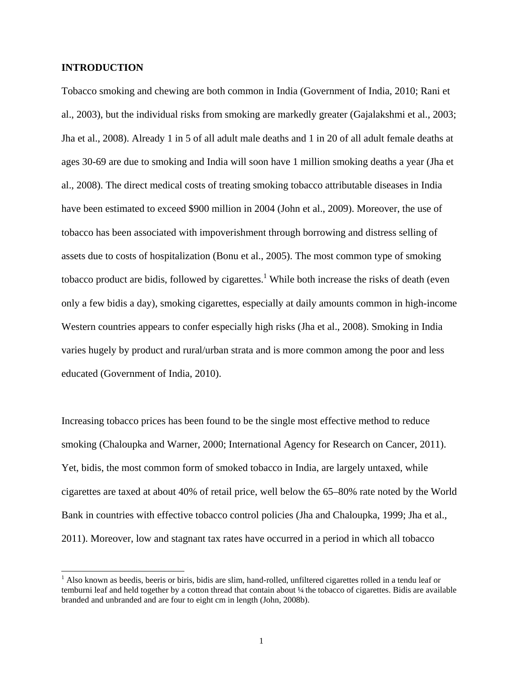#### **INTRODUCTION**

 $\overline{a}$ 

Tobacco smoking and chewing are both common in India (Government of India, 2010; Rani et al., 2003), but the individual risks from smoking are markedly greater (Gajalakshmi et al., 2003; Jha et al., 2008). Already 1 in 5 of all adult male deaths and 1 in 20 of all adult female deaths at ages 30-69 are due to smoking and India will soon have 1 million smoking deaths a year (Jha et al., 2008). The direct medical costs of treating smoking tobacco attributable diseases in India have been estimated to exceed \$900 million in 2004 (John et al., 2009). Moreover, the use of tobacco has been associated with impoverishment through borrowing and distress selling of assets due to costs of hospitalization (Bonu et al., 2005). The most common type of smoking tobacco product are bidis, followed by cigarettes.<sup>1</sup> While both increase the risks of death (even only a few bidis a day), smoking cigarettes, especially at daily amounts common in high-income Western countries appears to confer especially high risks (Jha et al., 2008). Smoking in India varies hugely by product and rural/urban strata and is more common among the poor and less educated (Government of India, 2010).

Increasing tobacco prices has been found to be the single most effective method to reduce smoking (Chaloupka and Warner, 2000; International Agency for Research on Cancer, 2011). Yet, bidis, the most common form of smoked tobacco in India, are largely untaxed, while cigarettes are taxed at about 40% of retail price, well below the 65–80% rate noted by the World Bank in countries with effective tobacco control policies (Jha and Chaloupka, 1999; Jha et al., 2011). Moreover, low and stagnant tax rates have occurred in a period in which all tobacco

 $<sup>1</sup>$  Also known as beedis, beeris or biris, bidis are slim, hand-rolled, unfiltered cigarettes rolled in a tendu leaf or</sup> temburni leaf and held together by a cotton thread that contain about ¼ the tobacco of cigarettes. Bidis are available branded and unbranded and are four to eight cm in length (John, 2008b).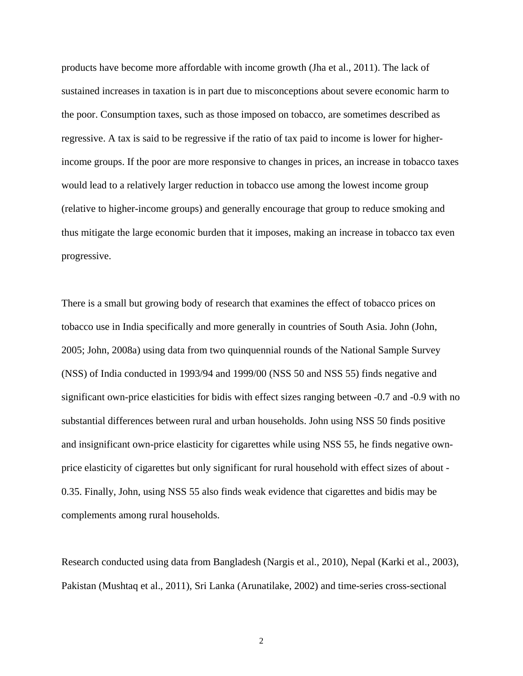products have become more affordable with income growth (Jha et al., 2011). The lack of sustained increases in taxation is in part due to misconceptions about severe economic harm to the poor. Consumption taxes, such as those imposed on tobacco, are sometimes described as regressive. A tax is said to be regressive if the ratio of tax paid to income is lower for higherincome groups. If the poor are more responsive to changes in prices, an increase in tobacco taxes would lead to a relatively larger reduction in tobacco use among the lowest income group (relative to higher-income groups) and generally encourage that group to reduce smoking and thus mitigate the large economic burden that it imposes, making an increase in tobacco tax even progressive.

There is a small but growing body of research that examines the effect of tobacco prices on tobacco use in India specifically and more generally in countries of South Asia. John (John, 2005; John, 2008a) using data from two quinquennial rounds of the National Sample Survey (NSS) of India conducted in 1993/94 and 1999/00 (NSS 50 and NSS 55) finds negative and significant own-price elasticities for bidis with effect sizes ranging between -0.7 and -0.9 with no substantial differences between rural and urban households. John using NSS 50 finds positive and insignificant own-price elasticity for cigarettes while using NSS 55, he finds negative ownprice elasticity of cigarettes but only significant for rural household with effect sizes of about - 0.35. Finally, John, using NSS 55 also finds weak evidence that cigarettes and bidis may be complements among rural households.

Research conducted using data from Bangladesh (Nargis et al., 2010), Nepal (Karki et al., 2003), Pakistan (Mushtaq et al., 2011), Sri Lanka (Arunatilake, 2002) and time-series cross-sectional

2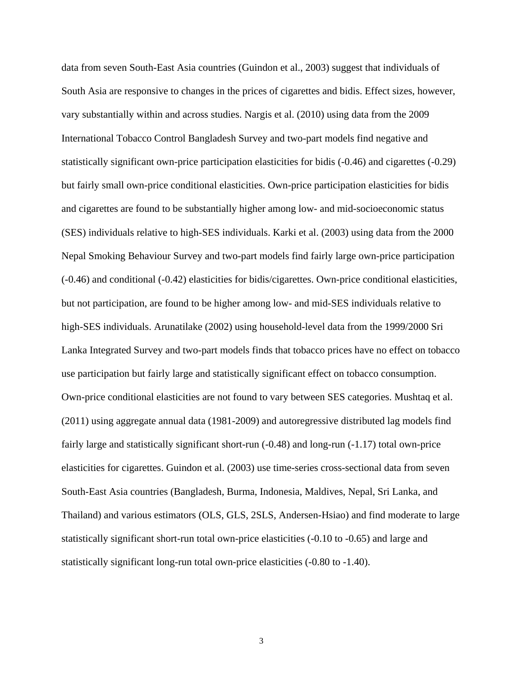data from seven South-East Asia countries (Guindon et al., 2003) suggest that individuals of South Asia are responsive to changes in the prices of cigarettes and bidis. Effect sizes, however, vary substantially within and across studies. Nargis et al. (2010) using data from the 2009 International Tobacco Control Bangladesh Survey and two-part models find negative and statistically significant own-price participation elasticities for bidis (-0.46) and cigarettes (-0.29) but fairly small own-price conditional elasticities. Own-price participation elasticities for bidis and cigarettes are found to be substantially higher among low- and mid-socioeconomic status (SES) individuals relative to high-SES individuals. Karki et al. (2003) using data from the 2000 Nepal Smoking Behaviour Survey and two-part models find fairly large own-price participation (-0.46) and conditional (-0.42) elasticities for bidis/cigarettes. Own-price conditional elasticities, but not participation, are found to be higher among low- and mid-SES individuals relative to high-SES individuals. Arunatilake (2002) using household-level data from the 1999/2000 Sri Lanka Integrated Survey and two-part models finds that tobacco prices have no effect on tobacco use participation but fairly large and statistically significant effect on tobacco consumption. Own-price conditional elasticities are not found to vary between SES categories. Mushtaq et al. (2011) using aggregate annual data (1981-2009) and autoregressive distributed lag models find fairly large and statistically significant short-run (-0.48) and long-run (-1.17) total own-price elasticities for cigarettes. Guindon et al. (2003) use time-series cross-sectional data from seven South-East Asia countries (Bangladesh, Burma, Indonesia, Maldives, Nepal, Sri Lanka, and Thailand) and various estimators (OLS, GLS, 2SLS, Andersen-Hsiao) and find moderate to large statistically significant short-run total own-price elasticities (-0.10 to -0.65) and large and statistically significant long-run total own-price elasticities (-0.80 to -1.40).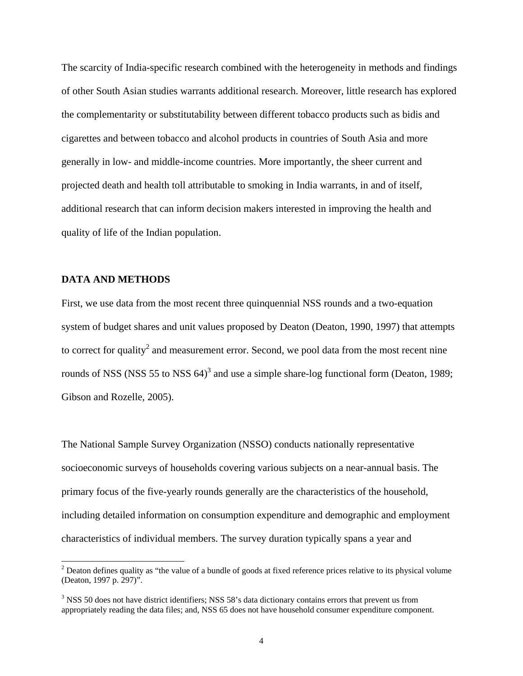The scarcity of India-specific research combined with the heterogeneity in methods and findings of other South Asian studies warrants additional research. Moreover, little research has explored the complementarity or substitutability between different tobacco products such as bidis and cigarettes and between tobacco and alcohol products in countries of South Asia and more generally in low- and middle-income countries. More importantly, the sheer current and projected death and health toll attributable to smoking in India warrants, in and of itself, additional research that can inform decision makers interested in improving the health and quality of life of the Indian population.

#### **DATA AND METHODS**

 $\overline{a}$ 

First, we use data from the most recent three quinquennial NSS rounds and a two-equation system of budget shares and unit values proposed by Deaton (Deaton, 1990, 1997) that attempts to correct for quality<sup>2</sup> and measurement error. Second, we pool data from the most recent nine rounds of NSS (NSS 55 to NSS  $64)^3$  and use a simple share-log functional form (Deaton, 1989; Gibson and Rozelle, 2005).

The National Sample Survey Organization (NSSO) conducts nationally representative socioeconomic surveys of households covering various subjects on a near-annual basis. The primary focus of the five-yearly rounds generally are the characteristics of the household, including detailed information on consumption expenditure and demographic and employment characteristics of individual members. The survey duration typically spans a year and

 $2^{2}$  Deaton defines quality as "the value of a bundle of goods at fixed reference prices relative to its physical volume (Deaton, 1997 p. 297)".

<sup>&</sup>lt;sup>3</sup> NSS 50 does not have district identifiers; NSS 58's data dictionary contains errors that prevent us from appropriately reading the data files; and, NSS 65 does not have household consumer expenditure component.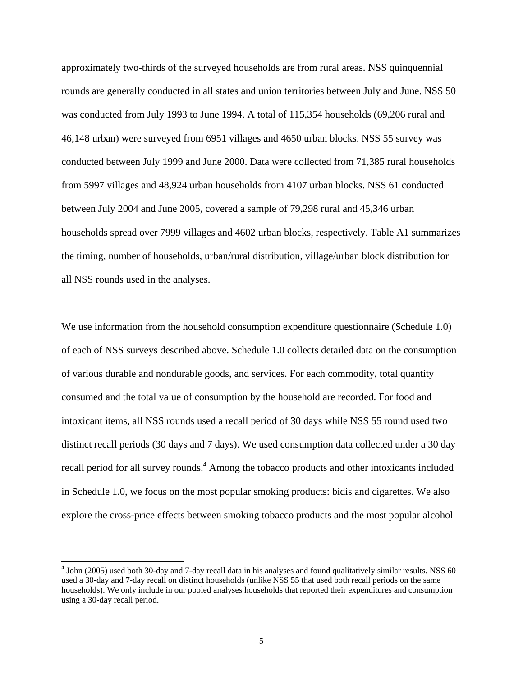approximately two-thirds of the surveyed households are from rural areas. NSS quinquennial rounds are generally conducted in all states and union territories between July and June. NSS 50 was conducted from July 1993 to June 1994. A total of 115,354 households (69,206 rural and 46,148 urban) were surveyed from 6951 villages and 4650 urban blocks. NSS 55 survey was conducted between July 1999 and June 2000. Data were collected from 71,385 rural households from 5997 villages and 48,924 urban households from 4107 urban blocks. NSS 61 conducted between July 2004 and June 2005, covered a sample of 79,298 rural and 45,346 urban households spread over 7999 villages and 4602 urban blocks, respectively. Table A1 summarizes the timing, number of households, urban/rural distribution, village/urban block distribution for all NSS rounds used in the analyses.

We use information from the household consumption expenditure questionnaire (Schedule 1.0) of each of NSS surveys described above. Schedule 1.0 collects detailed data on the consumption of various durable and nondurable goods, and services. For each commodity, total quantity consumed and the total value of consumption by the household are recorded. For food and intoxicant items, all NSS rounds used a recall period of 30 days while NSS 55 round used two distinct recall periods (30 days and 7 days). We used consumption data collected under a 30 day recall period for all survey rounds.<sup>4</sup> Among the tobacco products and other intoxicants included in Schedule 1.0, we focus on the most popular smoking products: bidis and cigarettes. We also explore the cross-price effects between smoking tobacco products and the most popular alcohol

 $\overline{a}$ 

 $4$  John (2005) used both 30-day and 7-day recall data in his analyses and found qualitatively similar results. NSS 60 used a 30-day and 7-day recall on distinct households (unlike NSS 55 that used both recall periods on the same households). We only include in our pooled analyses households that reported their expenditures and consumption using a 30-day recall period.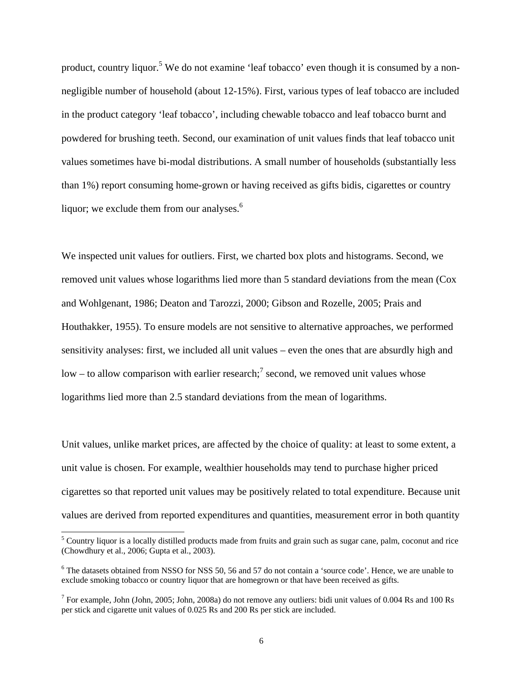product, country liquor.<sup>5</sup> We do not examine 'leaf tobacco' even though it is consumed by a nonnegligible number of household (about 12-15%). First, various types of leaf tobacco are included in the product category 'leaf tobacco', including chewable tobacco and leaf tobacco burnt and powdered for brushing teeth. Second, our examination of unit values finds that leaf tobacco unit values sometimes have bi-modal distributions. A small number of households (substantially less than 1%) report consuming home-grown or having received as gifts bidis, cigarettes or country liquor; we exclude them from our analyses. $<sup>6</sup>$ </sup>

We inspected unit values for outliers. First, we charted box plots and histograms. Second, we removed unit values whose logarithms lied more than 5 standard deviations from the mean (Cox and Wohlgenant, 1986; Deaton and Tarozzi, 2000; Gibson and Rozelle, 2005; Prais and Houthakker, 1955). To ensure models are not sensitive to alternative approaches, we performed sensitivity analyses: first, we included all unit values – even the ones that are absurdly high and low – to allow comparison with earlier research;<sup>7</sup> second, we removed unit values whose logarithms lied more than 2.5 standard deviations from the mean of logarithms.

Unit values, unlike market prices, are affected by the choice of quality: at least to some extent, a unit value is chosen. For example, wealthier households may tend to purchase higher priced cigarettes so that reported unit values may be positively related to total expenditure. Because unit values are derived from reported expenditures and quantities, measurement error in both quantity

 $\overline{a}$ 

<sup>&</sup>lt;sup>5</sup> Country liquor is a locally distilled products made from fruits and grain such as sugar cane, palm, coconut and rice (Chowdhury et al., 2006; Gupta et al., 2003).

<sup>&</sup>lt;sup>6</sup> The datasets obtained from NSSO for NSS 50, 56 and 57 do not contain a 'source code'. Hence, we are unable to exclude smoking tobacco or country liquor that are homegrown or that have been received as gifts.

<sup>&</sup>lt;sup>7</sup> For example, John (John, 2005; John, 2008a) do not remove any outliers: bidi unit values of 0.004 Rs and 100 Rs per stick and cigarette unit values of 0.025 Rs and 200 Rs per stick are included.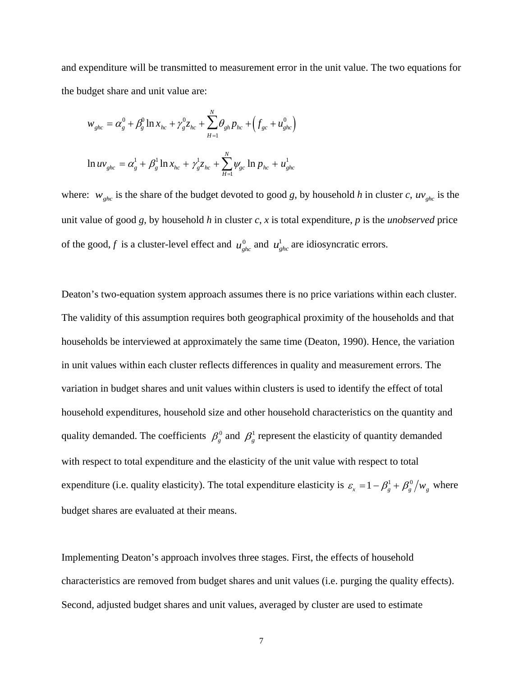and expenditure will be transmitted to measurement error in the unit value. The two equations for the budget share and unit value are:

$$
w_{ghc} = \alpha_g^0 + \beta_g^0 \ln x_{hc} + \gamma_g^0 z_{hc} + \sum_{H=1}^N \theta_{gh} p_{hc} + (f_{gc} + u_{ghc}^0)
$$
  

$$
\ln uv_{ghc} = \alpha_g^1 + \beta_g^1 \ln x_{hc} + \gamma_g^1 z_{hc} + \sum_{H=1}^N \psi_{gc} \ln p_{hc} + u_{ghc}^1
$$

where:  $w_{ghc}$  is the share of the budget devoted to good *g*, by household *h* in cluster *c*,  $uv_{ghc}$  is the unit value of good *g*, by household *h* in cluster *c*, *x* is total expenditure, *p* is the *unobserved* price of the good, *f* is a cluster-level effect and  $u_{ghc}^0$  and  $u_{ghc}^1$  are idiosyncratic errors.

Deaton's two-equation system approach assumes there is no price variations within each cluster. The validity of this assumption requires both geographical proximity of the households and that households be interviewed at approximately the same time (Deaton, 1990). Hence, the variation in unit values within each cluster reflects differences in quality and measurement errors. The variation in budget shares and unit values within clusters is used to identify the effect of total household expenditures, household size and other household characteristics on the quantity and quality demanded. The coefficients  $\beta_g^0$  and  $\beta_g^1$  represent the elasticity of quantity demanded with respect to total expenditure and the elasticity of the unit value with respect to total expenditure (i.e. quality elasticity). The total expenditure elasticity is  $\varepsilon_x = 1 - \beta_g^1 + \beta_g^0 / w_g$  where budget shares are evaluated at their means.

Implementing Deaton's approach involves three stages. First, the effects of household characteristics are removed from budget shares and unit values (i.e. purging the quality effects). Second, adjusted budget shares and unit values, averaged by cluster are used to estimate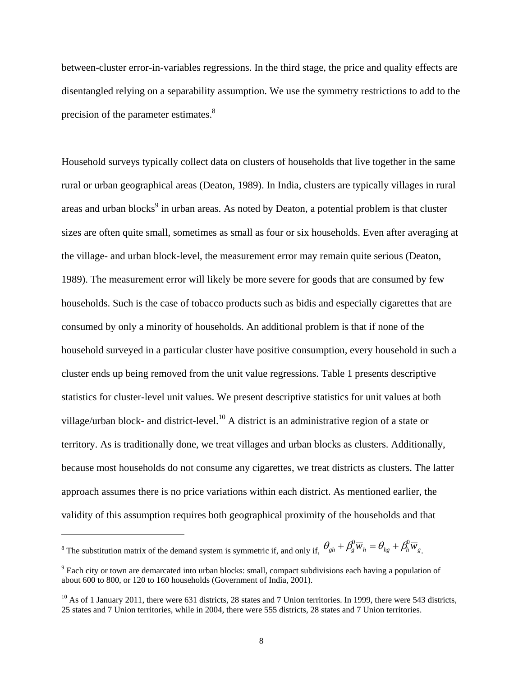between-cluster error-in-variables regressions. In the third stage, the price and quality effects are disentangled relying on a separability assumption. We use the symmetry restrictions to add to the precision of the parameter estimates.<sup>8</sup>

Household surveys typically collect data on clusters of households that live together in the same rural or urban geographical areas (Deaton, 1989). In India, clusters are typically villages in rural areas and urban blocks<sup>9</sup> in urban areas. As noted by Deaton, a potential problem is that cluster sizes are often quite small, sometimes as small as four or six households. Even after averaging at the village- and urban block-level, the measurement error may remain quite serious (Deaton, 1989). The measurement error will likely be more severe for goods that are consumed by few households. Such is the case of tobacco products such as bidis and especially cigarettes that are consumed by only a minority of households. An additional problem is that if none of the household surveyed in a particular cluster have positive consumption, every household in such a cluster ends up being removed from the unit value regressions. Table 1 presents descriptive statistics for cluster-level unit values. We present descriptive statistics for unit values at both village/urban block- and district-level.10 A district is an administrative region of a state or territory. As is traditionally done, we treat villages and urban blocks as clusters. Additionally, because most households do not consume any cigarettes, we treat districts as clusters. The latter approach assumes there is no price variations within each district. As mentioned earlier, the validity of this assumption requires both geographical proximity of the households and that

<sup>8</sup> The substitution matrix of the demand system is symmetric if, and only if,  $\theta_{gh} + \beta_g^0 \overline{w}_h = \theta_{hg} + \beta_h^0 \overline{w}_g$ .

 $\overline{a}$ 

<sup>&</sup>lt;sup>9</sup> Each city or town are demarcated into urban blocks: small, compact subdivisions each having a population of about 600 to 800, or 120 to 160 households (Government of India, 2001).

 $10$  As of 1 January 2011, there were 631 districts, 28 states and 7 Union territories. In 1999, there were 543 districts, 25 states and 7 Union territories, while in 2004, there were 555 districts, 28 states and 7 Union territories.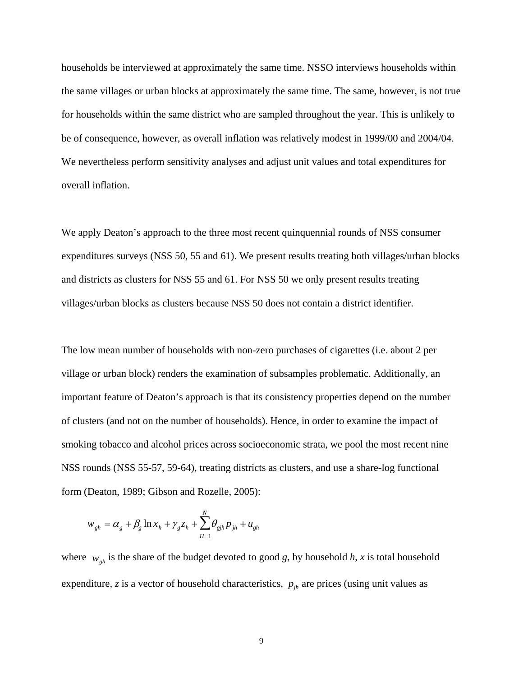households be interviewed at approximately the same time. NSSO interviews households within the same villages or urban blocks at approximately the same time. The same, however, is not true for households within the same district who are sampled throughout the year. This is unlikely to be of consequence, however, as overall inflation was relatively modest in 1999/00 and 2004/04. We nevertheless perform sensitivity analyses and adjust unit values and total expenditures for overall inflation.

We apply Deaton's approach to the three most recent quinquennial rounds of NSS consumer expenditures surveys (NSS 50, 55 and 61). We present results treating both villages/urban blocks and districts as clusters for NSS 55 and 61. For NSS 50 we only present results treating villages/urban blocks as clusters because NSS 50 does not contain a district identifier.

The low mean number of households with non-zero purchases of cigarettes (i.e. about 2 per village or urban block) renders the examination of subsamples problematic. Additionally, an important feature of Deaton's approach is that its consistency properties depend on the number of clusters (and not on the number of households). Hence, in order to examine the impact of smoking tobacco and alcohol prices across socioeconomic strata, we pool the most recent nine NSS rounds (NSS 55-57, 59-64), treating districts as clusters, and use a share-log functional form (Deaton, 1989; Gibson and Rozelle, 2005):

$$
w_{gh} = \alpha_g + \beta_g \ln x_h + \gamma_g z_h + \sum_{H=1}^{N} \theta_{gih} p_{jh} + u_{gh}
$$

where  $w_{gh}$  is the share of the budget devoted to good *g*, by household *h*, *x* is total household expenditure,  $z$  is a vector of household characteristics,  $p_{jk}$  are prices (using unit values as

9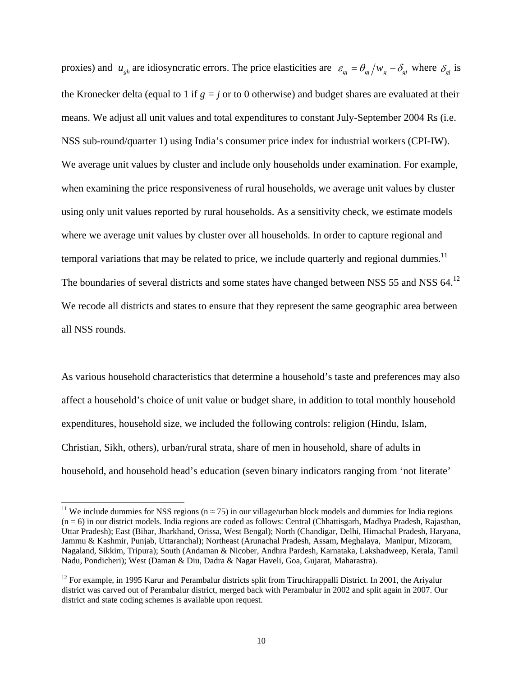proxies) and  $u_{gh}$  are idiosyncratic errors. The price elasticities are  $\varepsilon_{gi} = \theta_{gi}/w_g - \delta_{gi}$  where  $\delta_{gi}$  is the Kronecker delta (equal to 1 if  $g = j$  or to 0 otherwise) and budget shares are evaluated at their means. We adjust all unit values and total expenditures to constant July-September 2004 Rs (i.e. NSS sub-round/quarter 1) using India's consumer price index for industrial workers (CPI-IW). We average unit values by cluster and include only households under examination. For example, when examining the price responsiveness of rural households, we average unit values by cluster using only unit values reported by rural households. As a sensitivity check, we estimate models where we average unit values by cluster over all households. In order to capture regional and temporal variations that may be related to price, we include quarterly and regional dummies.<sup>11</sup> The boundaries of several districts and some states have changed between NSS 55 and NSS 64.<sup>12</sup> We recode all districts and states to ensure that they represent the same geographic area between all NSS rounds.

As various household characteristics that determine a household's taste and preferences may also affect a household's choice of unit value or budget share, in addition to total monthly household expenditures, household size, we included the following controls: religion (Hindu, Islam, Christian, Sikh, others), urban/rural strata, share of men in household, share of adults in household, and household head's education (seven binary indicators ranging from 'not literate'

 $\overline{a}$ 

<sup>&</sup>lt;sup>11</sup> We include dummies for NSS regions ( $n \approx 75$ ) in our village/urban block models and dummies for India regions  $(n = 6)$  in our district models. India regions are coded as follows: Central (Chhattisgarh, Madhya Pradesh, Rajasthan, Uttar Pradesh); East (Bihar, Jharkhand, Orissa, West Bengal); North (Chandigar, Delhi, Himachal Pradesh, Haryana, Jammu & Kashmir, Punjab, Uttaranchal); Northeast (Arunachal Pradesh, Assam, Meghalaya, Manipur, Mizoram, Nagaland, Sikkim, Tripura); South (Andaman & Nicober, Andhra Pardesh, Karnataka, Lakshadweep, Kerala, Tamil Nadu, Pondicheri); West (Daman & Diu, Dadra & Nagar Haveli, Goa, Gujarat, Maharastra).

<sup>&</sup>lt;sup>12</sup> For example, in 1995 Karur and Perambalur districts split from Tiruchirappalli District. In 2001, the Ariyalur district was carved out of Perambalur district, merged back with Perambalur in 2002 and split again in 2007. Our district and state coding schemes is available upon request.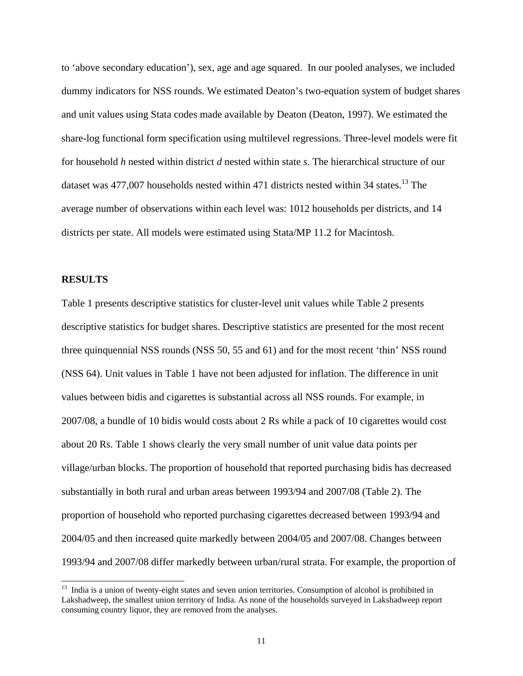to 'above secondary education'), sex, age and age squared. In our pooled analyses, we included dummy indicators for NSS rounds. We estimated Deaton's two-equation system of budget shares and unit values using Stata codes made available by Deaton (Deaton, 1997). We estimated the share-log functional form specification using multilevel regressions. Three-level models were fit for household *h* nested within district *d* nested within state *s*. The hierarchical structure of our dataset was  $477,007$  households nested within  $471$  districts nested within 34 states.<sup>13</sup> The average number of observations within each level was: 1012 households per districts, and 14 districts per state. All models were estimated using Stata/MP 11.2 for Macintosh.

#### **RESULTS**

l

Table 1 presents descriptive statistics for cluster-level unit values while Table 2 presents descriptive statistics for budget shares. Descriptive statistics are presented for the most recent three quinquennial NSS rounds (NSS 50, 55 and 61) and for the most recent 'thin' NSS round (NSS 64). Unit values in Table 1 have not been adjusted for inflation. The difference in unit values between bidis and cigarettes is substantial across all NSS rounds. For example, in 2007/08, a bundle of 10 bidis would costs about 2 Rs while a pack of 10 cigarettes would cost about 20 Rs. Table 1 shows clearly the very small number of unit value data points per village/urban blocks. The proportion of household that reported purchasing bidis has decreased substantially in both rural and urban areas between 1993/94 and 2007/08 (Table 2). The proportion of household who reported purchasing cigarettes decreased between 1993/94 and 2004/05 and then increased quite markedly between 2004/05 and 2007/08. Changes between 1993/94 and 2007/08 differ markedly between urban/rural strata. For example, the proportion of

<sup>&</sup>lt;sup>13</sup> India is a union of twenty-eight states and seven union territories. Consumption of alcohol is prohibited in Lakshadweep, the smallest union territory of India. As none of the households surveyed in Lakshadweep report consuming country liquor, they are removed from the analyses.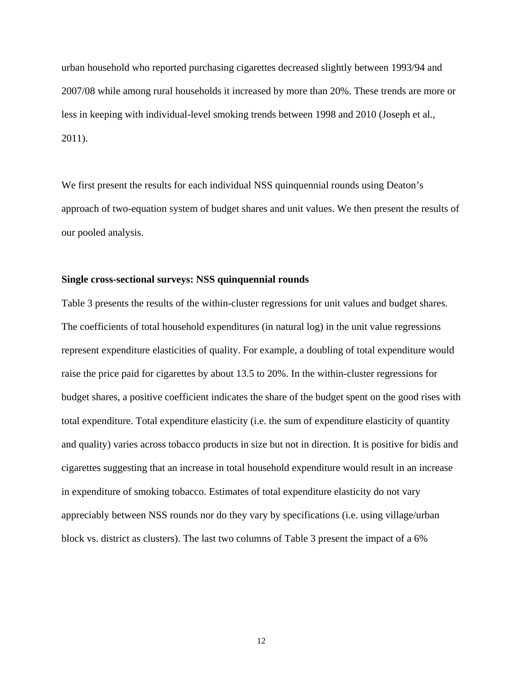urban household who reported purchasing cigarettes decreased slightly between 1993/94 and 2007/08 while among rural households it increased by more than 20%. These trends are more or less in keeping with individual-level smoking trends between 1998 and 2010 (Joseph et al., 2011).

We first present the results for each individual NSS quinquennial rounds using Deaton's approach of two-equation system of budget shares and unit values. We then present the results of our pooled analysis.

#### **Single cross-sectional surveys: NSS quinquennial rounds**

Table 3 presents the results of the within-cluster regressions for unit values and budget shares. The coefficients of total household expenditures (in natural log) in the unit value regressions represent expenditure elasticities of quality. For example, a doubling of total expenditure would raise the price paid for cigarettes by about 13.5 to 20%. In the within-cluster regressions for budget shares, a positive coefficient indicates the share of the budget spent on the good rises with total expenditure. Total expenditure elasticity (i.e. the sum of expenditure elasticity of quantity and quality) varies across tobacco products in size but not in direction. It is positive for bidis and cigarettes suggesting that an increase in total household expenditure would result in an increase in expenditure of smoking tobacco. Estimates of total expenditure elasticity do not vary appreciably between NSS rounds nor do they vary by specifications (i.e. using village/urban block vs. district as clusters). The last two columns of Table 3 present the impact of a 6%

12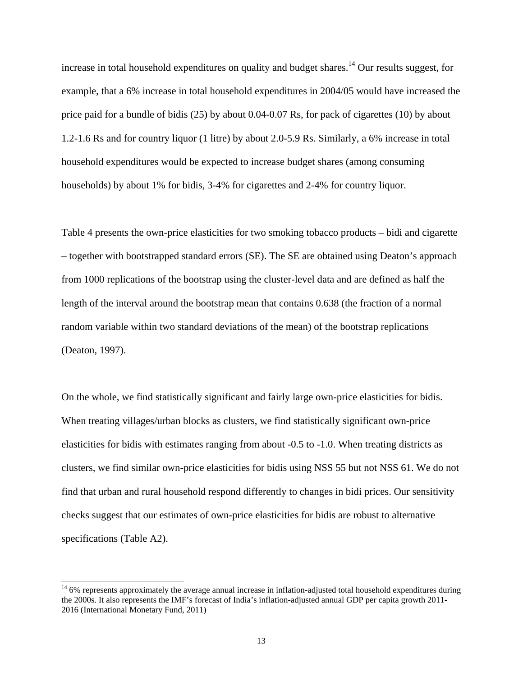increase in total household expenditures on quality and budget shares.<sup>14</sup> Our results suggest, for example, that a 6% increase in total household expenditures in 2004/05 would have increased the price paid for a bundle of bidis (25) by about 0.04-0.07 Rs, for pack of cigarettes (10) by about 1.2-1.6 Rs and for country liquor (1 litre) by about 2.0-5.9 Rs. Similarly, a 6% increase in total household expenditures would be expected to increase budget shares (among consuming households) by about 1% for bidis, 3-4% for cigarettes and 2-4% for country liquor.

Table 4 presents the own-price elasticities for two smoking tobacco products – bidi and cigarette – together with bootstrapped standard errors (SE). The SE are obtained using Deaton's approach from 1000 replications of the bootstrap using the cluster-level data and are defined as half the length of the interval around the bootstrap mean that contains 0.638 (the fraction of a normal random variable within two standard deviations of the mean) of the bootstrap replications (Deaton, 1997).

On the whole, we find statistically significant and fairly large own-price elasticities for bidis. When treating villages/urban blocks as clusters, we find statistically significant own-price elasticities for bidis with estimates ranging from about -0.5 to -1.0. When treating districts as clusters, we find similar own-price elasticities for bidis using NSS 55 but not NSS 61. We do not find that urban and rural household respond differently to changes in bidi prices. Our sensitivity checks suggest that our estimates of own-price elasticities for bidis are robust to alternative specifications (Table A2).

l

 $14\,6\%$  represents approximately the average annual increase in inflation-adjusted total household expenditures during the 2000s. It also represents the IMF's forecast of India's inflation-adjusted annual GDP per capita growth 2011- 2016 (International Monetary Fund, 2011)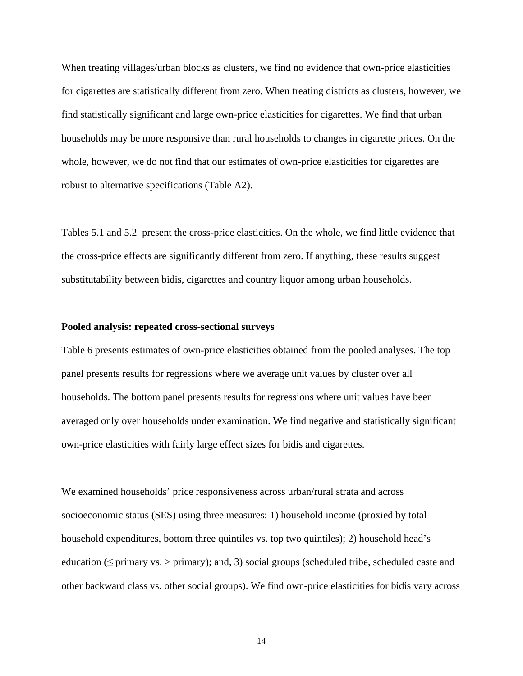When treating villages/urban blocks as clusters, we find no evidence that own-price elasticities for cigarettes are statistically different from zero. When treating districts as clusters, however, we find statistically significant and large own-price elasticities for cigarettes. We find that urban households may be more responsive than rural households to changes in cigarette prices. On the whole, however, we do not find that our estimates of own-price elasticities for cigarettes are robust to alternative specifications (Table A2).

Tables 5.1 and 5.2 present the cross-price elasticities. On the whole, we find little evidence that the cross-price effects are significantly different from zero. If anything, these results suggest substitutability between bidis, cigarettes and country liquor among urban households.

#### **Pooled analysis: repeated cross-sectional surveys**

Table 6 presents estimates of own-price elasticities obtained from the pooled analyses. The top panel presents results for regressions where we average unit values by cluster over all households. The bottom panel presents results for regressions where unit values have been averaged only over households under examination. We find negative and statistically significant own-price elasticities with fairly large effect sizes for bidis and cigarettes.

We examined households' price responsiveness across urban/rural strata and across socioeconomic status (SES) using three measures: 1) household income (proxied by total household expenditures, bottom three quintiles vs. top two quintiles); 2) household head's education ( $\leq$  primary vs.  $>$  primary); and, 3) social groups (scheduled tribe, scheduled caste and other backward class vs. other social groups). We find own-price elasticities for bidis vary across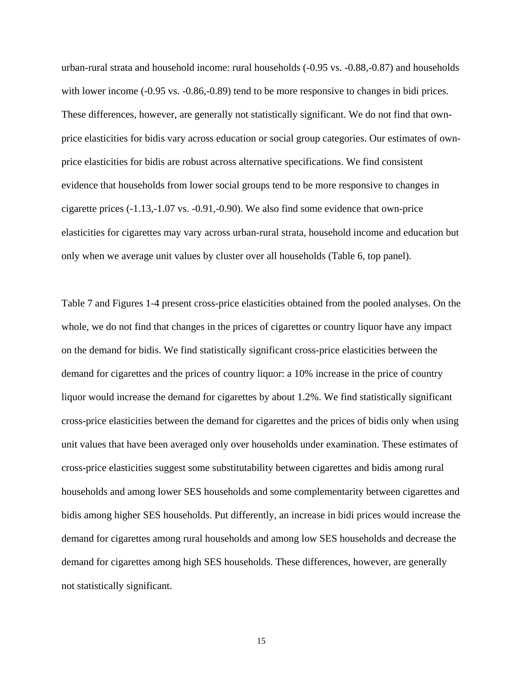urban-rural strata and household income: rural households (-0.95 vs. -0.88,-0.87) and households with lower income (-0.95 vs. -0.86,-0.89) tend to be more responsive to changes in bidi prices. These differences, however, are generally not statistically significant. We do not find that ownprice elasticities for bidis vary across education or social group categories. Our estimates of ownprice elasticities for bidis are robust across alternative specifications. We find consistent evidence that households from lower social groups tend to be more responsive to changes in cigarette prices (-1.13,-1.07 vs. -0.91,-0.90). We also find some evidence that own-price elasticities for cigarettes may vary across urban-rural strata, household income and education but only when we average unit values by cluster over all households (Table 6, top panel).

Table 7 and Figures 1-4 present cross-price elasticities obtained from the pooled analyses. On the whole, we do not find that changes in the prices of cigarettes or country liquor have any impact on the demand for bidis. We find statistically significant cross-price elasticities between the demand for cigarettes and the prices of country liquor: a 10% increase in the price of country liquor would increase the demand for cigarettes by about 1.2%. We find statistically significant cross-price elasticities between the demand for cigarettes and the prices of bidis only when using unit values that have been averaged only over households under examination. These estimates of cross-price elasticities suggest some substitutability between cigarettes and bidis among rural households and among lower SES households and some complementarity between cigarettes and bidis among higher SES households. Put differently, an increase in bidi prices would increase the demand for cigarettes among rural households and among low SES households and decrease the demand for cigarettes among high SES households. These differences, however, are generally not statistically significant.

15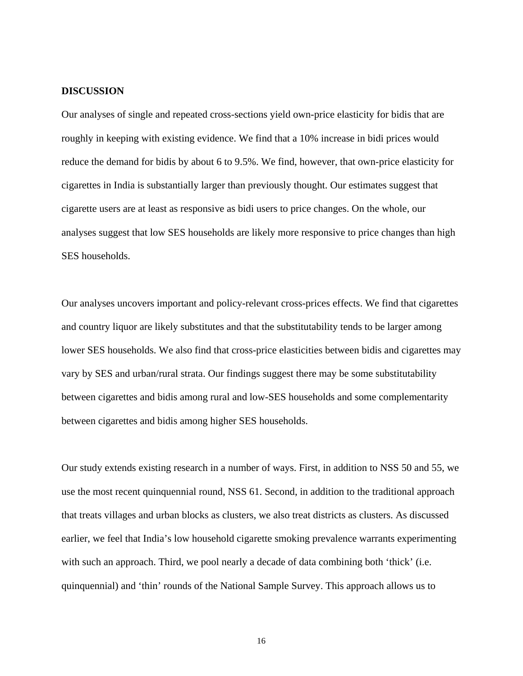#### **DISCUSSION**

Our analyses of single and repeated cross-sections yield own-price elasticity for bidis that are roughly in keeping with existing evidence. We find that a 10% increase in bidi prices would reduce the demand for bidis by about 6 to 9.5%. We find, however, that own-price elasticity for cigarettes in India is substantially larger than previously thought. Our estimates suggest that cigarette users are at least as responsive as bidi users to price changes. On the whole, our analyses suggest that low SES households are likely more responsive to price changes than high SES households.

Our analyses uncovers important and policy-relevant cross-prices effects. We find that cigarettes and country liquor are likely substitutes and that the substitutability tends to be larger among lower SES households. We also find that cross-price elasticities between bidis and cigarettes may vary by SES and urban/rural strata. Our findings suggest there may be some substitutability between cigarettes and bidis among rural and low-SES households and some complementarity between cigarettes and bidis among higher SES households.

Our study extends existing research in a number of ways. First, in addition to NSS 50 and 55, we use the most recent quinquennial round, NSS 61. Second, in addition to the traditional approach that treats villages and urban blocks as clusters, we also treat districts as clusters. As discussed earlier, we feel that India's low household cigarette smoking prevalence warrants experimenting with such an approach. Third, we pool nearly a decade of data combining both 'thick' (i.e. quinquennial) and 'thin' rounds of the National Sample Survey. This approach allows us to

16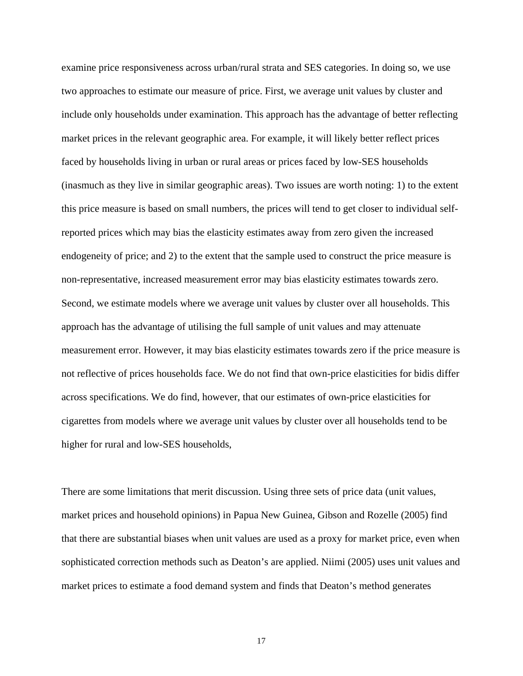examine price responsiveness across urban/rural strata and SES categories. In doing so, we use two approaches to estimate our measure of price. First, we average unit values by cluster and include only households under examination. This approach has the advantage of better reflecting market prices in the relevant geographic area. For example, it will likely better reflect prices faced by households living in urban or rural areas or prices faced by low-SES households (inasmuch as they live in similar geographic areas). Two issues are worth noting: 1) to the extent this price measure is based on small numbers, the prices will tend to get closer to individual selfreported prices which may bias the elasticity estimates away from zero given the increased endogeneity of price; and 2) to the extent that the sample used to construct the price measure is non-representative, increased measurement error may bias elasticity estimates towards zero. Second, we estimate models where we average unit values by cluster over all households. This approach has the advantage of utilising the full sample of unit values and may attenuate measurement error. However, it may bias elasticity estimates towards zero if the price measure is not reflective of prices households face. We do not find that own-price elasticities for bidis differ across specifications. We do find, however, that our estimates of own-price elasticities for cigarettes from models where we average unit values by cluster over all households tend to be higher for rural and low-SES households,

There are some limitations that merit discussion. Using three sets of price data (unit values, market prices and household opinions) in Papua New Guinea, Gibson and Rozelle (2005) find that there are substantial biases when unit values are used as a proxy for market price, even when sophisticated correction methods such as Deaton's are applied. Niimi (2005) uses unit values and market prices to estimate a food demand system and finds that Deaton's method generates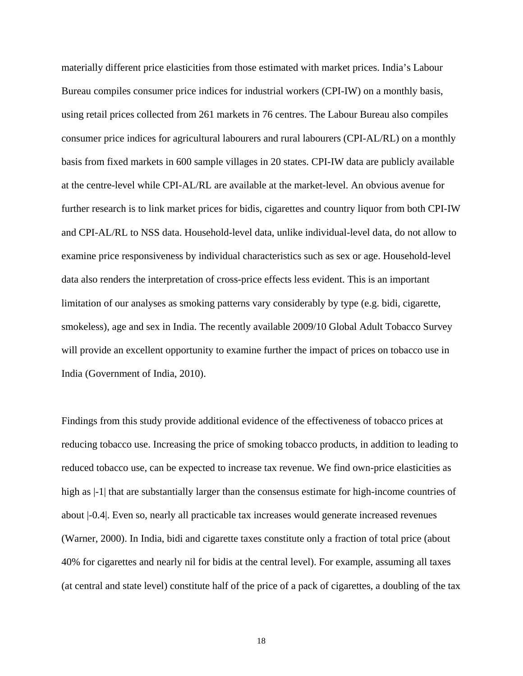materially different price elasticities from those estimated with market prices. India's Labour Bureau compiles consumer price indices for industrial workers (CPI-IW) on a monthly basis, using retail prices collected from 261 markets in 76 centres. The Labour Bureau also compiles consumer price indices for agricultural labourers and rural labourers (CPI-AL/RL) on a monthly basis from fixed markets in 600 sample villages in 20 states. CPI-IW data are publicly available at the centre-level while CPI-AL/RL are available at the market-level. An obvious avenue for further research is to link market prices for bidis, cigarettes and country liquor from both CPI-IW and CPI-AL/RL to NSS data. Household-level data, unlike individual-level data, do not allow to examine price responsiveness by individual characteristics such as sex or age. Household-level data also renders the interpretation of cross-price effects less evident. This is an important limitation of our analyses as smoking patterns vary considerably by type (e.g. bidi, cigarette, smokeless), age and sex in India. The recently available 2009/10 Global Adult Tobacco Survey will provide an excellent opportunity to examine further the impact of prices on tobacco use in India (Government of India, 2010).

Findings from this study provide additional evidence of the effectiveness of tobacco prices at reducing tobacco use. Increasing the price of smoking tobacco products, in addition to leading to reduced tobacco use, can be expected to increase tax revenue. We find own-price elasticities as high as  $-1$  that are substantially larger than the consensus estimate for high-income countries of about |-0.4|. Even so, nearly all practicable tax increases would generate increased revenues (Warner, 2000). In India, bidi and cigarette taxes constitute only a fraction of total price (about 40% for cigarettes and nearly nil for bidis at the central level). For example, assuming all taxes (at central and state level) constitute half of the price of a pack of cigarettes, a doubling of the tax

18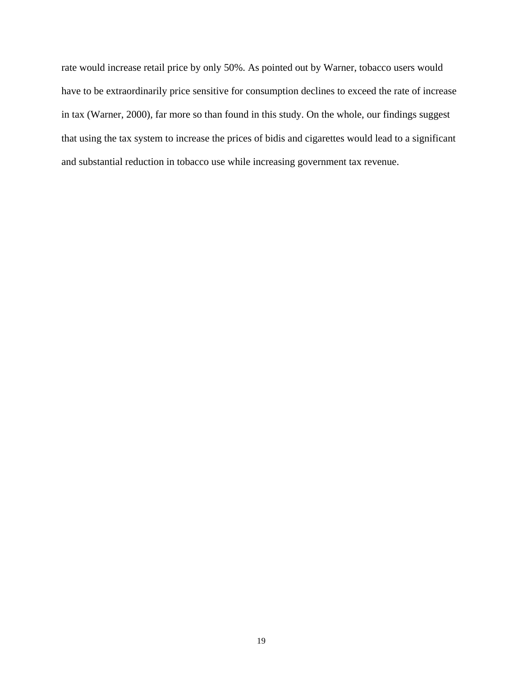rate would increase retail price by only 50%. As pointed out by Warner, tobacco users would have to be extraordinarily price sensitive for consumption declines to exceed the rate of increase in tax (Warner, 2000), far more so than found in this study. On the whole, our findings suggest that using the tax system to increase the prices of bidis and cigarettes would lead to a significant and substantial reduction in tobacco use while increasing government tax revenue.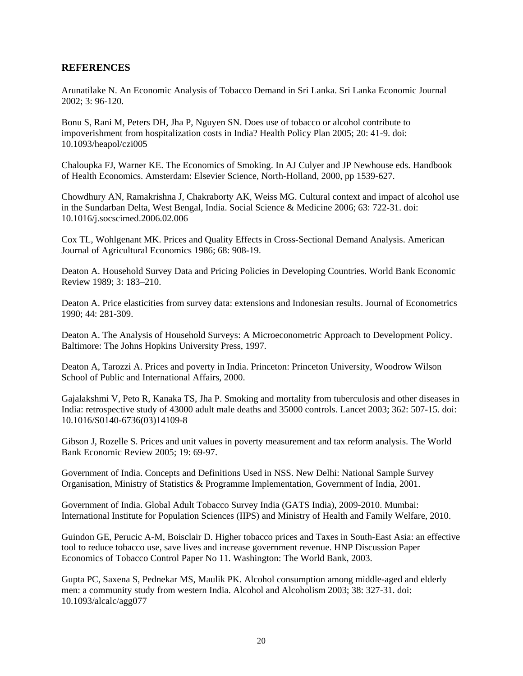### **REFERENCES**

Arunatilake N. An Economic Analysis of Tobacco Demand in Sri Lanka. Sri Lanka Economic Journal 2002; 3: 96-120.

Bonu S, Rani M, Peters DH, Jha P, Nguyen SN. Does use of tobacco or alcohol contribute to impoverishment from hospitalization costs in India? Health Policy Plan 2005; 20: 41-9. doi: 10.1093/heapol/czi005

Chaloupka FJ, Warner KE. The Economics of Smoking. In AJ Culyer and JP Newhouse eds. Handbook of Health Economics. Amsterdam: Elsevier Science, North-Holland, 2000, pp 1539-627.

Chowdhury AN, Ramakrishna J, Chakraborty AK, Weiss MG. Cultural context and impact of alcohol use in the Sundarban Delta, West Bengal, India. Social Science & Medicine 2006; 63: 722-31. doi: 10.1016/j.socscimed.2006.02.006

Cox TL, Wohlgenant MK. Prices and Quality Effects in Cross-Sectional Demand Analysis. American Journal of Agricultural Economics 1986; 68: 908-19.

Deaton A. Household Survey Data and Pricing Policies in Developing Countries. World Bank Economic Review 1989; 3: 183–210.

Deaton A. Price elasticities from survey data: extensions and Indonesian results. Journal of Econometrics 1990; 44: 281-309.

Deaton A. The Analysis of Household Surveys: A Microeconometric Approach to Development Policy. Baltimore: The Johns Hopkins University Press, 1997.

Deaton A, Tarozzi A. Prices and poverty in India. Princeton: Princeton University, Woodrow Wilson School of Public and International Affairs, 2000.

Gajalakshmi V, Peto R, Kanaka TS, Jha P. Smoking and mortality from tuberculosis and other diseases in India: retrospective study of 43000 adult male deaths and 35000 controls. Lancet 2003; 362: 507-15. doi: 10.1016/S0140-6736(03)14109-8

Gibson J, Rozelle S. Prices and unit values in poverty measurement and tax reform analysis. The World Bank Economic Review 2005; 19: 69-97.

Government of India. Concepts and Definitions Used in NSS. New Delhi: National Sample Survey Organisation, Ministry of Statistics & Programme Implementation, Government of India, 2001.

Government of India. Global Adult Tobacco Survey India (GATS India), 2009-2010. Mumbai: International Institute for Population Sciences (IIPS) and Ministry of Health and Family Welfare, 2010.

Guindon GE, Perucic A-M, Boisclair D. Higher tobacco prices and Taxes in South-East Asia: an effective tool to reduce tobacco use, save lives and increase government revenue. HNP Discussion Paper Economics of Tobacco Control Paper No 11. Washington: The World Bank, 2003.

Gupta PC, Saxena S, Pednekar MS, Maulik PK. Alcohol consumption among middle-aged and elderly men: a community study from western India. Alcohol and Alcoholism 2003; 38: 327-31. doi: 10.1093/alcalc/agg077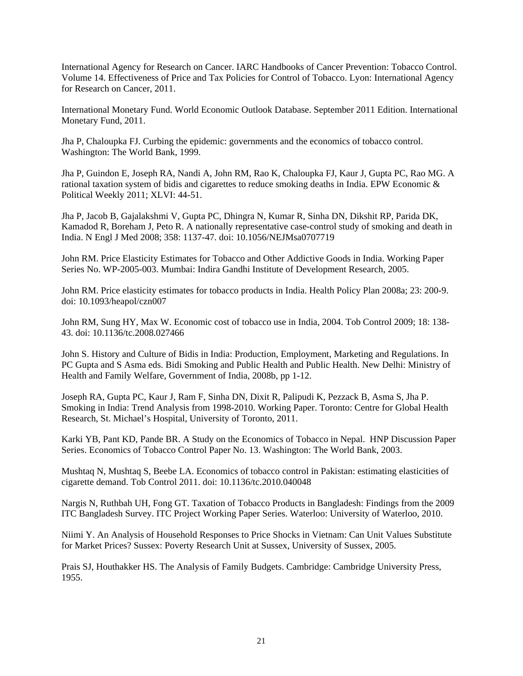International Agency for Research on Cancer. IARC Handbooks of Cancer Prevention: Tobacco Control. Volume 14. Effectiveness of Price and Tax Policies for Control of Tobacco. Lyon: International Agency for Research on Cancer, 2011.

International Monetary Fund. World Economic Outlook Database. September 2011 Edition. International Monetary Fund, 2011.

Jha P, Chaloupka FJ. Curbing the epidemic: governments and the economics of tobacco control. Washington: The World Bank, 1999.

Jha P, Guindon E, Joseph RA, Nandi A, John RM, Rao K, Chaloupka FJ, Kaur J, Gupta PC, Rao MG. A rational taxation system of bidis and cigarettes to reduce smoking deaths in India. EPW Economic & Political Weekly 2011; XLVI: 44-51.

Jha P, Jacob B, Gajalakshmi V, Gupta PC, Dhingra N, Kumar R, Sinha DN, Dikshit RP, Parida DK, Kamadod R, Boreham J, Peto R. A nationally representative case-control study of smoking and death in India. N Engl J Med 2008; 358: 1137-47. doi: 10.1056/NEJMsa0707719

John RM. Price Elasticity Estimates for Tobacco and Other Addictive Goods in India. Working Paper Series No. WP-2005-003. Mumbai: Indira Gandhi Institute of Development Research, 2005.

John RM. Price elasticity estimates for tobacco products in India. Health Policy Plan 2008a; 23: 200-9. doi: 10.1093/heapol/czn007

John RM, Sung HY, Max W. Economic cost of tobacco use in India, 2004. Tob Control 2009; 18: 138- 43. doi: 10.1136/tc.2008.027466

John S. History and Culture of Bidis in India: Production, Employment, Marketing and Regulations. In PC Gupta and S Asma eds. Bidi Smoking and Public Health and Public Health. New Delhi: Ministry of Health and Family Welfare, Government of India, 2008b, pp 1-12.

Joseph RA, Gupta PC, Kaur J, Ram F, Sinha DN, Dixit R, Palipudi K, Pezzack B, Asma S, Jha P. Smoking in India: Trend Analysis from 1998-2010. Working Paper. Toronto: Centre for Global Health Research, St. Michael's Hospital, University of Toronto, 2011.

Karki YB, Pant KD, Pande BR. A Study on the Economics of Tobacco in Nepal. HNP Discussion Paper Series. Economics of Tobacco Control Paper No. 13. Washington: The World Bank, 2003.

Mushtaq N, Mushtaq S, Beebe LA. Economics of tobacco control in Pakistan: estimating elasticities of cigarette demand. Tob Control 2011. doi: 10.1136/tc.2010.040048

Nargis N, Ruthbah UH, Fong GT. Taxation of Tobacco Products in Bangladesh: Findings from the 2009 ITC Bangladesh Survey. ITC Project Working Paper Series. Waterloo: University of Waterloo, 2010.

Niimi Y. An Analysis of Household Responses to Price Shocks in Vietnam: Can Unit Values Substitute for Market Prices? Sussex: Poverty Research Unit at Sussex, University of Sussex, 2005.

Prais SJ, Houthakker HS. The Analysis of Family Budgets. Cambridge: Cambridge University Press, 1955.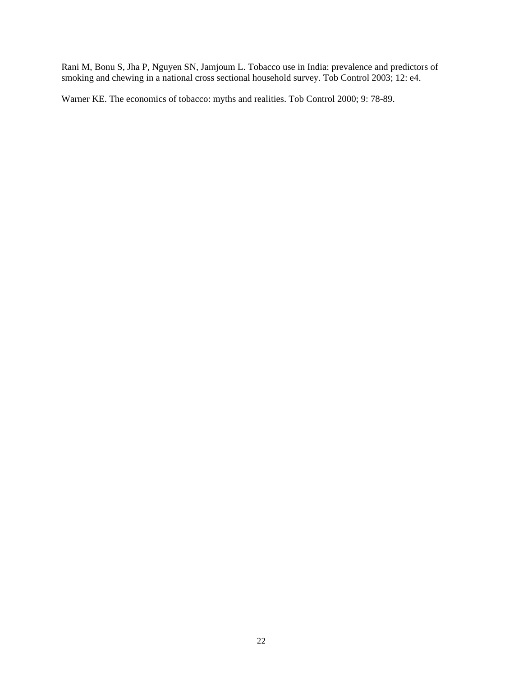Rani M, Bonu S, Jha P, Nguyen SN, Jamjoum L. Tobacco use in India: prevalence and predictors of smoking and chewing in a national cross sectional household survey. Tob Control 2003; 12: e4.

Warner KE. The economics of tobacco: myths and realities. Tob Control 2000; 9: 78-89.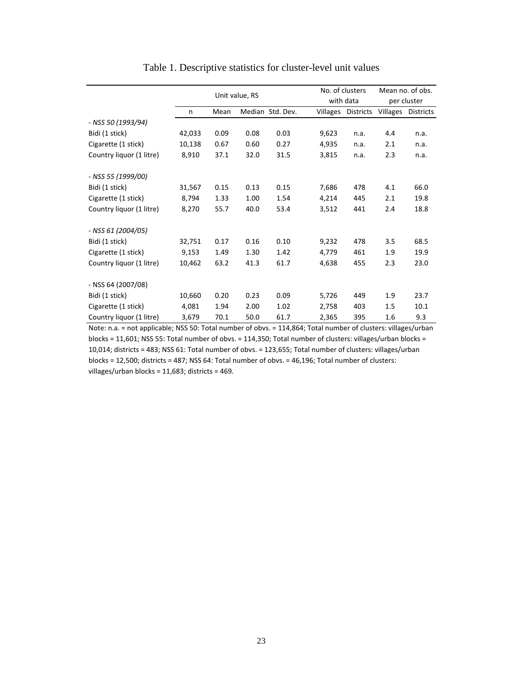|                          |        |      | Unit value, RS |                  |                 | No. of clusters<br>with data |                 | Mean no. of obs.<br>per cluster |  |
|--------------------------|--------|------|----------------|------------------|-----------------|------------------------------|-----------------|---------------------------------|--|
|                          | n      | Mean |                | Median Std. Dev. | <b>Villages</b> | <b>Districts</b>             | <b>Villages</b> | <b>Districts</b>                |  |
| - NSS 50 (1993/94)       |        |      |                |                  |                 |                              |                 |                                 |  |
| Bidi (1 stick)           | 42,033 | 0.09 | 0.08           | 0.03             | 9,623           | n.a.                         | 4.4             | n.a.                            |  |
| Cigarette (1 stick)      | 10,138 | 0.67 | 0.60           | 0.27             | 4,935           | n.a.                         | 2.1             | n.a.                            |  |
| Country liquor (1 litre) | 8,910  | 37.1 | 32.0           | 31.5             | 3,815           | n.a.                         | 2.3             | n.a.                            |  |
| - NSS 55 (1999/00)       |        |      |                |                  |                 |                              |                 |                                 |  |
| Bidi (1 stick)           | 31,567 | 0.15 | 0.13           | 0.15             | 7,686           | 478                          | 4.1             | 66.0                            |  |
| Cigarette (1 stick)      | 8,794  | 1.33 | 1.00           | 1.54             | 4,214           | 445                          | 2.1             | 19.8                            |  |
| Country liquor (1 litre) | 8,270  | 55.7 | 40.0           | 53.4             | 3,512           | 441                          | 2.4             | 18.8                            |  |
| - NSS 61 (2004/05)       |        |      |                |                  |                 |                              |                 |                                 |  |
| Bidi (1 stick)           | 32,751 | 0.17 | 0.16           | 0.10             | 9,232           | 478                          | 3.5             | 68.5                            |  |
| Cigarette (1 stick)      | 9,153  | 1.49 | 1.30           | 1.42             | 4,779           | 461                          | 1.9             | 19.9                            |  |
| Country liquor (1 litre) | 10,462 | 63.2 | 41.3           | 61.7             | 4,638           | 455                          | 2.3             | 23.0                            |  |
| - NSS 64 (2007/08)       |        |      |                |                  |                 |                              |                 |                                 |  |
| Bidi (1 stick)           | 10,660 | 0.20 | 0.23           | 0.09             | 5,726           | 449                          | 1.9             | 23.7                            |  |
| Cigarette (1 stick)      | 4,081  | 1.94 | 2.00           | 1.02             | 2,758           | 403                          | 1.5             | 10.1                            |  |
| Country liquor (1 litre) | 3,679  | 70.1 | 50.0           | 61.7             | 2,365           | 395                          | 1.6             | 9.3                             |  |

## Table 1. Descriptive statistics for cluster-level unit values

Note: n.a. = not applicable; NSS 50: Total number of obvs. = 114,864; Total number of clusters: villages/urban blocks = 11,601; NSS 55: Total number of obvs. = 114,350; Total number of clusters: villages/urban blocks = 10,014; districts = 483; NSS 61: Total number of obvs. = 123,655; Total number of clusters: villages/urban blocks = 12,500; districts = 487; NSS 64: Total number of obvs. = 46,196; Total number of clusters: villages/urban blocks = 11,683; districts = 469.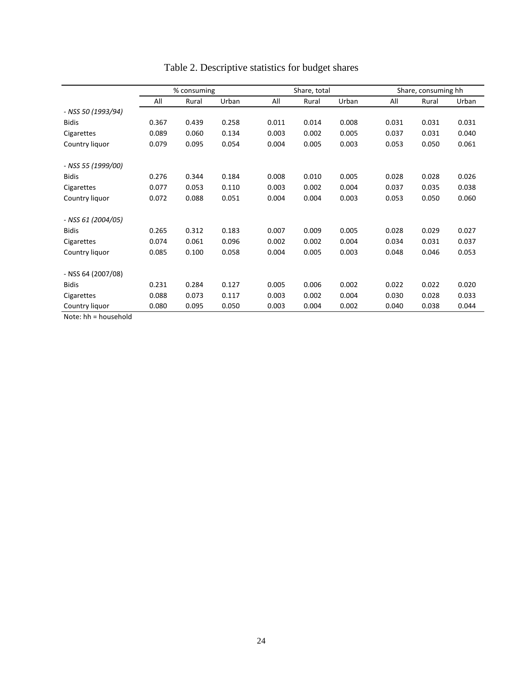|                    | % consuming |       |       |       | Share, total |       |       | Share, consuming hh |       |
|--------------------|-------------|-------|-------|-------|--------------|-------|-------|---------------------|-------|
|                    | All         | Rural | Urban | All   | Rural        | Urban | All   | Rural               | Urban |
| - NSS 50 (1993/94) |             |       |       |       |              |       |       |                     |       |
| <b>Bidis</b>       | 0.367       | 0.439 | 0.258 | 0.011 | 0.014        | 0.008 | 0.031 | 0.031               | 0.031 |
| Cigarettes         | 0.089       | 0.060 | 0.134 | 0.003 | 0.002        | 0.005 | 0.037 | 0.031               | 0.040 |
| Country liquor     | 0.079       | 0.095 | 0.054 | 0.004 | 0.005        | 0.003 | 0.053 | 0.050               | 0.061 |
| - NSS 55 (1999/00) |             |       |       |       |              |       |       |                     |       |
| <b>Bidis</b>       | 0.276       | 0.344 | 0.184 | 0.008 | 0.010        | 0.005 | 0.028 | 0.028               | 0.026 |
| Cigarettes         | 0.077       | 0.053 | 0.110 | 0.003 | 0.002        | 0.004 | 0.037 | 0.035               | 0.038 |
| Country liquor     | 0.072       | 0.088 | 0.051 | 0.004 | 0.004        | 0.003 | 0.053 | 0.050               | 0.060 |
| - NSS 61 (2004/05) |             |       |       |       |              |       |       |                     |       |
| <b>Bidis</b>       | 0.265       | 0.312 | 0.183 | 0.007 | 0.009        | 0.005 | 0.028 | 0.029               | 0.027 |
| Cigarettes         | 0.074       | 0.061 | 0.096 | 0.002 | 0.002        | 0.004 | 0.034 | 0.031               | 0.037 |
| Country liquor     | 0.085       | 0.100 | 0.058 | 0.004 | 0.005        | 0.003 | 0.048 | 0.046               | 0.053 |
| - NSS 64 (2007/08) |             |       |       |       |              |       |       |                     |       |
| <b>Bidis</b>       | 0.231       | 0.284 | 0.127 | 0.005 | 0.006        | 0.002 | 0.022 | 0.022               | 0.020 |
| Cigarettes         | 0.088       | 0.073 | 0.117 | 0.003 | 0.002        | 0.004 | 0.030 | 0.028               | 0.033 |
| Country liquor     | 0.080       | 0.095 | 0.050 | 0.003 | 0.004        | 0.002 | 0.040 | 0.038               | 0.044 |

# Table 2. Descriptive statistics for budget shares

Note: hh = household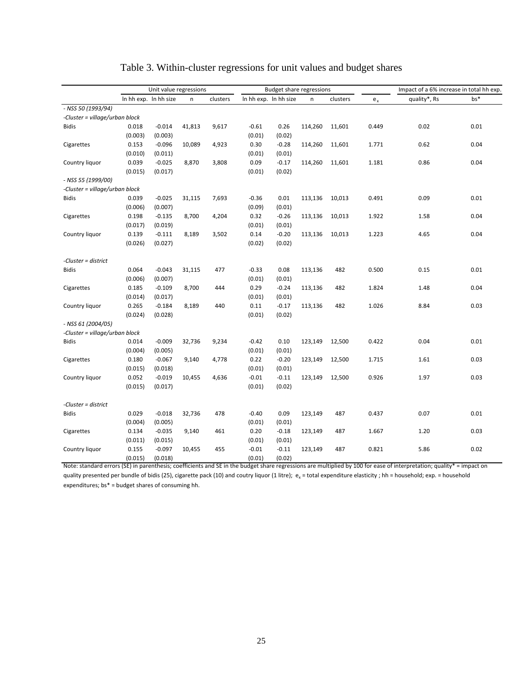|                                | Unit value regressions |                       |        | <b>Budget share regressions</b> |         |                       |         |          | Impact of a 6% increase in total hh exp. |              |       |
|--------------------------------|------------------------|-----------------------|--------|---------------------------------|---------|-----------------------|---------|----------|------------------------------------------|--------------|-------|
|                                |                        | In hh exp. In hh size | n      | clusters                        |         | In hh exp. In hh size | n       | clusters | $e_{x}$                                  | quality*, Rs | $bs*$ |
| - NSS 50 (1993/94)             |                        |                       |        |                                 |         |                       |         |          |                                          |              |       |
| -Cluster = village/urban block |                        |                       |        |                                 |         |                       |         |          |                                          |              |       |
| <b>Bidis</b>                   | 0.018                  | $-0.014$              | 41,813 | 9,617                           | $-0.61$ | 0.26                  | 114,260 | 11,601   | 0.449                                    | 0.02         | 0.01  |
|                                | (0.003)                | (0.003)               |        |                                 | (0.01)  | (0.02)                |         |          |                                          |              |       |
| Cigarettes                     | 0.153                  | $-0.096$              | 10,089 | 4,923                           | 0.30    | $-0.28$               | 114,260 | 11,601   | 1.771                                    | 0.62         | 0.04  |
|                                | (0.010)                | (0.011)               |        |                                 | (0.01)  | (0.01)                |         |          |                                          |              |       |
| Country liquor                 | 0.039                  | $-0.025$              | 8,870  | 3,808                           | 0.09    | $-0.17$               | 114,260 | 11,601   | 1.181                                    | 0.86         | 0.04  |
|                                | (0.015)                | (0.017)               |        |                                 | (0.01)  | (0.02)                |         |          |                                          |              |       |
| - NSS 55 (1999/00)             |                        |                       |        |                                 |         |                       |         |          |                                          |              |       |
| -Cluster = village/urban block |                        |                       |        |                                 |         |                       |         |          |                                          |              |       |
| <b>Bidis</b>                   | 0.039                  | $-0.025$              | 31,115 | 7,693                           | $-0.36$ | 0.01                  | 113,136 | 10,013   | 0.491                                    | 0.09         | 0.01  |
|                                | (0.006)                | (0.007)               |        |                                 | (0.09)  | (0.01)                |         |          |                                          |              |       |
| Cigarettes                     | 0.198                  | $-0.135$              | 8,700  | 4,204                           | 0.32    | $-0.26$               | 113,136 | 10,013   | 1.922                                    | 1.58         | 0.04  |
|                                | (0.017)                | (0.019)               |        |                                 | (0.01)  | (0.01)                |         |          |                                          |              |       |
| Country liquor                 | 0.139                  | $-0.111$              | 8,189  | 3,502                           | 0.14    | $-0.20$               | 113,136 | 10,013   | 1.223                                    | 4.65         | 0.04  |
|                                | (0.026)                | (0.027)               |        |                                 | (0.02)  | (0.02)                |         |          |                                          |              |       |
| -Cluster = district            |                        |                       |        |                                 |         |                       |         |          |                                          |              |       |
| <b>Bidis</b>                   | 0.064                  | $-0.043$              | 31,115 | 477                             | $-0.33$ | 0.08                  | 113,136 | 482      | 0.500                                    | 0.15         | 0.01  |
|                                | (0.006)                | (0.007)               |        |                                 | (0.01)  | (0.01)                |         |          |                                          |              |       |
| Cigarettes                     | 0.185                  | $-0.109$              | 8,700  | 444                             | 0.29    | $-0.24$               | 113,136 | 482      | 1.824                                    | 1.48         | 0.04  |
|                                | (0.014)                | (0.017)               |        |                                 | (0.01)  | (0.01)                |         |          |                                          |              |       |
| Country liquor                 | 0.265                  | $-0.184$              | 8,189  | 440                             | 0.11    | $-0.17$               | 113,136 | 482      | 1.026                                    | 8.84         | 0.03  |
|                                | (0.024)                | (0.028)               |        |                                 | (0.01)  | (0.02)                |         |          |                                          |              |       |
| - NSS 61 (2004/05)             |                        |                       |        |                                 |         |                       |         |          |                                          |              |       |
| -Cluster = village/urban block |                        |                       |        |                                 |         |                       |         |          |                                          |              |       |
| <b>Bidis</b>                   | 0.014                  | $-0.009$              | 32,736 | 9,234                           | $-0.42$ | 0.10                  | 123,149 | 12,500   | 0.422                                    | 0.04         | 0.01  |
|                                | (0.004)                | (0.005)               |        |                                 | (0.01)  | (0.01)                |         |          |                                          |              |       |
| Cigarettes                     | 0.180                  | $-0.067$              | 9,140  | 4,778                           | 0.22    | $-0.20$               | 123,149 | 12,500   | 1.715                                    | 1.61         | 0.03  |
|                                | (0.015)                | (0.018)               |        |                                 | (0.01)  | (0.01)                |         |          |                                          |              |       |
| Country liquor                 | 0.052                  | $-0.019$              | 10,455 | 4,636                           | $-0.01$ | $-0.11$               | 123,149 | 12,500   | 0.926                                    | 1.97         | 0.03  |
|                                | (0.015)                | (0.017)               |        |                                 | (0.01)  | (0.02)                |         |          |                                          |              |       |
| -Cluster = district            |                        |                       |        |                                 |         |                       |         |          |                                          |              |       |
| <b>Bidis</b>                   | 0.029                  | $-0.018$              | 32,736 | 478                             | $-0.40$ | 0.09                  | 123,149 | 487      | 0.437                                    | 0.07         | 0.01  |
|                                | (0.004)                | (0.005)               |        |                                 | (0.01)  | (0.01)                |         |          |                                          |              |       |
| Cigarettes                     | 0.134                  | $-0.035$              | 9,140  | 461                             | 0.20    | $-0.18$               | 123,149 | 487      | 1.667                                    | 1.20         | 0.03  |
|                                | (0.011)                | (0.015)               |        |                                 | (0.01)  | (0.01)                |         |          |                                          |              |       |
| Country liquor                 | 0.155                  | $-0.097$              | 10,455 | 455                             | $-0.01$ | $-0.11$               | 123,149 | 487      | 0.821                                    | 5.86         | 0.02  |
|                                | (0.015)                | (0.018)               |        |                                 | (0.01)  | (0.02)                |         |          |                                          |              |       |

# Table 3. Within-cluster regressions for unit values and budget shares

Note: standard errors (SE) in parenthesis; coefficients and SE in the budget share regressions are multiplied by 100 for ease of interpretation; quality\* = impact on quality presented per bundle of bidis (25), cigarette pack (10) and coutry liquor (1 litre);  $e_x =$  total expenditure elasticity; hh = household; exp. = household expenditures; bs\* = budget shares of consuming hh.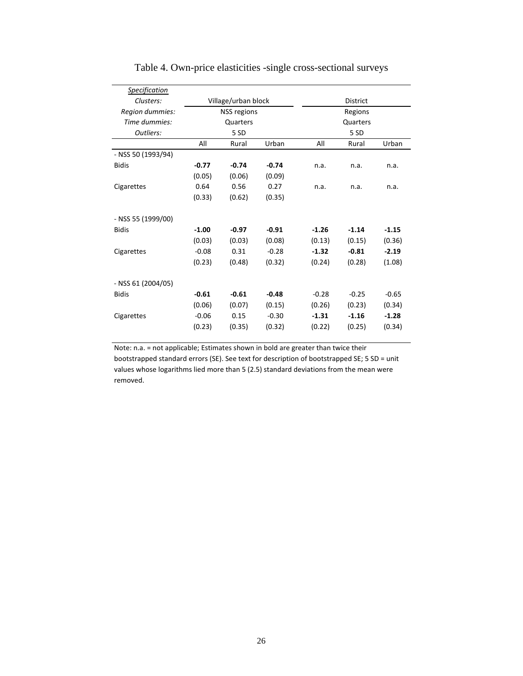| <b>Specification</b> |         |                     |         |                 |          |         |  |
|----------------------|---------|---------------------|---------|-----------------|----------|---------|--|
| Clusters:            |         | Village/urban block |         | <b>District</b> |          |         |  |
| Region dummies:      |         | NSS regions         |         |                 | Regions  |         |  |
| Time dummies:        |         | Quarters            |         |                 | Quarters |         |  |
| Outliers:            |         | 5 SD                |         |                 | 5 SD     |         |  |
|                      | All     | Rural               | Urban   | All             | Rural    | Urban   |  |
| - NSS 50 (1993/94)   |         |                     |         |                 |          |         |  |
| <b>Bidis</b>         | $-0.77$ | $-0.74$             | $-0.74$ | n.a.            | n.a.     | n.a.    |  |
|                      | (0.05)  | (0.06)              | (0.09)  |                 |          |         |  |
| Cigarettes           | 0.64    | 0.56                | 0.27    | n.a.            | n.a.     | n.a.    |  |
|                      | (0.33)  | (0.62)              | (0.35)  |                 |          |         |  |
| - NSS 55 (1999/00)   |         |                     |         |                 |          |         |  |
| <b>Bidis</b>         | $-1.00$ | $-0.97$             | $-0.91$ | $-1.26$         | $-1.14$  | $-1.15$ |  |
|                      | (0.03)  | (0.03)              | (0.08)  | (0.13)          | (0.15)   | (0.36)  |  |
| Cigarettes           | $-0.08$ | 0.31                | $-0.28$ | $-1.32$         | $-0.81$  | $-2.19$ |  |
|                      | (0.23)  | (0.48)              | (0.32)  | (0.24)          | (0.28)   | (1.08)  |  |
|                      |         |                     |         |                 |          |         |  |
| - NSS 61 (2004/05)   |         |                     |         |                 |          |         |  |
| <b>Bidis</b>         | $-0.61$ | $-0.61$             | $-0.48$ | $-0.28$         | $-0.25$  | $-0.65$ |  |
|                      | (0.06)  | (0.07)              | (0.15)  | (0.26)          | (0.23)   | (0.34)  |  |
| Cigarettes           | $-0.06$ | 0.15                | $-0.30$ | $-1.31$         | $-1.16$  | $-1.28$ |  |
|                      | (0.23)  | (0.35)              | (0.32)  | (0.22)          | (0.25)   | (0.34)  |  |
|                      |         |                     |         |                 |          |         |  |

Table 4. Own-price elasticities -single cross-sectional surveys

Note: n.a. = not applicable; Estimates shown in bold are greater than twice their bootstrapped standard errors (SE). See text for description of bootstrapped SE; 5 SD = unit values whose logarithms lied more than 5 (2.5) standard deviations from the mean were removed.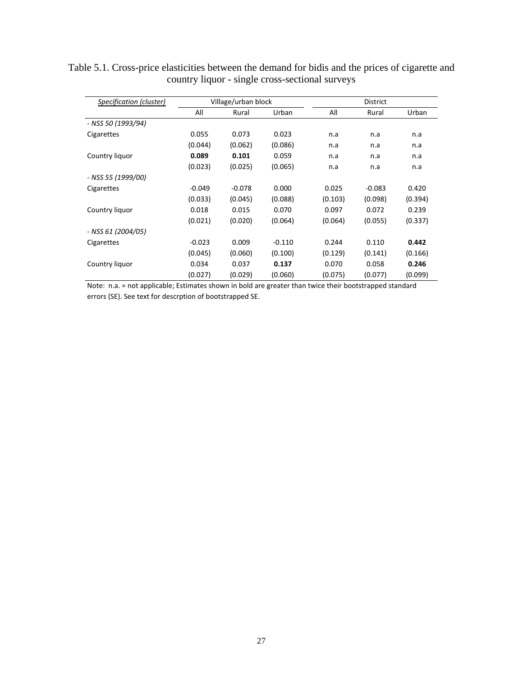| Specification (cluster) | Village/urban block |          |          |         | <b>District</b> |         |
|-------------------------|---------------------|----------|----------|---------|-----------------|---------|
|                         | All                 | Rural    | Urban    | All     | Rural           | Urban   |
| - NSS 50 (1993/94)      |                     |          |          |         |                 |         |
| Cigarettes              | 0.055               | 0.073    | 0.023    | n.a     | n.a             | n.a     |
|                         | (0.044)             | (0.062)  | (0.086)  | n.a     | n.a             | n.a     |
| Country liquor          | 0.089               | 0.101    | 0.059    | n.a     | n.a             | n.a     |
|                         | (0.023)             | (0.025)  | (0.065)  | n.a     | n.a             | n.a     |
| - NSS 55 (1999/00)      |                     |          |          |         |                 |         |
| Cigarettes              | $-0.049$            | $-0.078$ | 0.000    | 0.025   | $-0.083$        | 0.420   |
|                         | (0.033)             | (0.045)  | (0.088)  | (0.103) | (0.098)         | (0.394) |
| Country liquor          | 0.018               | 0.015    | 0.070    | 0.097   | 0.072           | 0.239   |
|                         | (0.021)             | (0.020)  | (0.064)  | (0.064) | (0.055)         | (0.337) |
| - NSS 61 (2004/05)      |                     |          |          |         |                 |         |
| Cigarettes              | $-0.023$            | 0.009    | $-0.110$ | 0.244   | 0.110           | 0.442   |
|                         | (0.045)             | (0.060)  | (0.100)  | (0.129) | (0.141)         | (0.166) |
| Country liquor          | 0.034               | 0.037    | 0.137    | 0.070   | 0.058           | 0.246   |
|                         | (0.027)             | (0.029)  | (0.060)  | (0.075) | (0.077)         | (0.099) |

Table 5.1. Cross-price elasticities between the demand for bidis and the prices of cigarette and country liquor - single cross-sectional surveys

Note: n.a. = not applicable; Estimates shown in bold are greater than twice their bootstrapped standard errors (SE). See text for descrption of bootstrapped SE.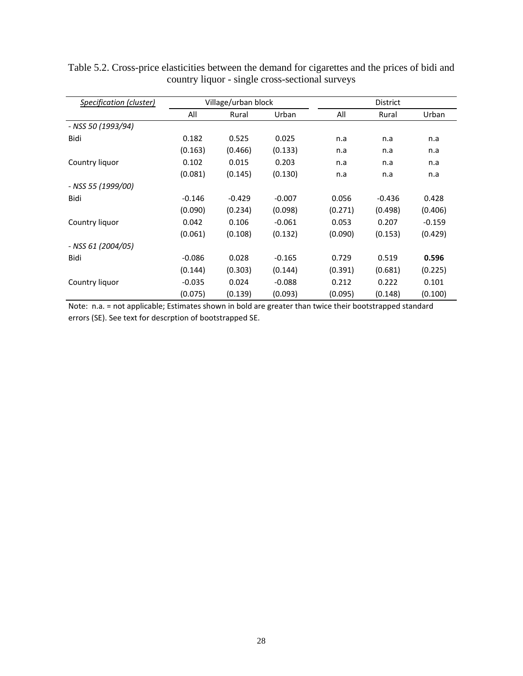| Specification (cluster) |          | Village/urban block |          |         | District |          |
|-------------------------|----------|---------------------|----------|---------|----------|----------|
|                         | All      | Rural               | Urban    | All     | Rural    | Urban    |
| - NSS 50 (1993/94)      |          |                     |          |         |          |          |
| Bidi                    | 0.182    | 0.525               | 0.025    | n.a     | n.a      | n.a      |
|                         | (0.163)  | (0.466)             | (0.133)  | n.a     | n.a      | n.a      |
| Country liquor          | 0.102    | 0.015               | 0.203    | n.a     | n.a      | n.a      |
|                         | (0.081)  | (0.145)             | (0.130)  | n.a     | n.a      | n.a      |
| - NSS 55 (1999/00)      |          |                     |          |         |          |          |
| Bidi                    | $-0.146$ | $-0.429$            | $-0.007$ | 0.056   | $-0.436$ | 0.428    |
|                         | (0.090)  | (0.234)             | (0.098)  | (0.271) | (0.498)  | (0.406)  |
| Country liquor          | 0.042    | 0.106               | $-0.061$ | 0.053   | 0.207    | $-0.159$ |
|                         | (0.061)  | (0.108)             | (0.132)  | (0.090) | (0.153)  | (0.429)  |
| - NSS 61 (2004/05)      |          |                     |          |         |          |          |
| Bidi                    | $-0.086$ | 0.028               | $-0.165$ | 0.729   | 0.519    | 0.596    |
|                         | (0.144)  | (0.303)             | (0.144)  | (0.391) | (0.681)  | (0.225)  |
| Country liquor          | $-0.035$ | 0.024               | $-0.088$ | 0.212   | 0.222    | 0.101    |
|                         | (0.075)  | (0.139)             | (0.093)  | (0.095) | (0.148)  | (0.100)  |

Table 5.2. Cross-price elasticities between the demand for cigarettes and the prices of bidi and country liquor - single cross-sectional surveys

Note: n.a. = not applicable; Estimates shown in bold are greater than twice their bootstrapped standard errors (SE). See text for descrption of bootstrapped SE.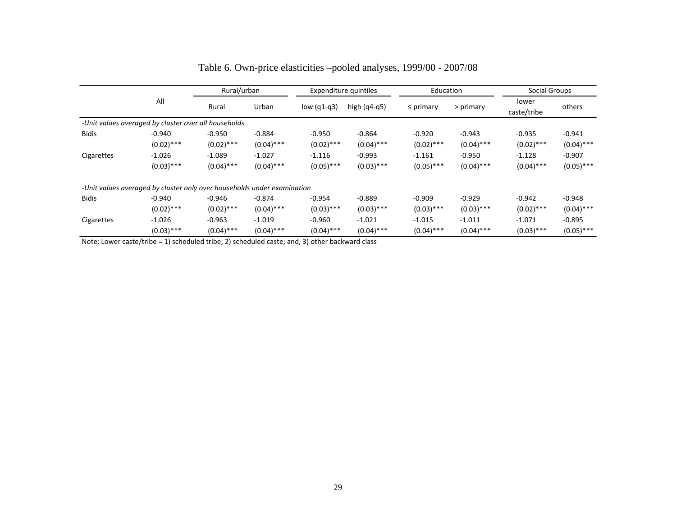|              |                                                                         | Rural/urban  |              |               | Expenditure quintiles<br>Education |                | Social Groups |                      |              |
|--------------|-------------------------------------------------------------------------|--------------|--------------|---------------|------------------------------------|----------------|---------------|----------------------|--------------|
|              | All                                                                     | Rural        | Urban        | low $(q1-q3)$ | high $(q4-q5)$                     | $\leq$ primary | > primary     | lower<br>caste/tribe | others       |
|              | -Unit values averaged by cluster over all households                    |              |              |               |                                    |                |               |                      |              |
| <b>Bidis</b> | $-0.940$                                                                | $-0.950$     | $-0.884$     | $-0.950$      | $-0.864$                           | $-0.920$       | $-0.943$      | $-0.935$             | $-0.941$     |
|              | $(0.02)$ ***                                                            | $(0.02)$ *** | $(0.04)$ *** | $(0.02)$ ***  | $(0.04)$ ***                       | $(0.02)$ ***   | $(0.04)$ ***  | $(0.02)$ ***         | $(0.04)$ *** |
| Cigarettes   | $-1.026$                                                                | $-1.089$     | $-1.027$     | $-1.116$      | $-0.993$                           | $-1.161$       | $-0.950$      | $-1.128$             | $-0.907$     |
|              | $(0.03)$ ***                                                            | $(0.04)$ *** | $(0.04)$ *** | $(0.05)$ ***  | $(0.03)$ ***                       | $(0.05)$ ***   | $(0.04)$ ***  | $(0.04)$ ***         | $(0.05)$ *** |
|              | -Unit values averaged by cluster only over households under examination |              |              |               |                                    |                |               |                      |              |
| <b>Bidis</b> | $-0.940$                                                                | $-0.946$     | $-0.874$     | $-0.954$      | $-0.889$                           | $-0.909$       | $-0.929$      | $-0.942$             | $-0.948$     |
|              | $(0.02)$ ***                                                            | $(0.02)$ *** | $(0.04)$ *** | $(0.03)$ ***  | $(0.03)$ ***                       | $(0.03)$ ***   | $(0.03)$ ***  | $(0.02)$ ***         | $(0.04)$ *** |
| Cigarettes   | $-1.026$                                                                | $-0.963$     | $-1.019$     | $-0.960$      | $-1.021$                           | $-1.015$       | $-1.011$      | $-1.071$             | $-0.895$     |
|              | $(0.03)$ ***                                                            | $(0.04)$ *** | $(0.04)$ *** | $(0.04)$ ***  | $(0.04)$ ***                       | $(0.04)$ ***   | $(0.04)$ ***  | $(0.03)$ ***         | $(0.05)$ *** |

# Table 6. Own-price elasticities –pooled analyses, 1999/00 - 2007/08

Note: Lower caste/tribe <sup>=</sup> 1) scheduled tribe; 2) scheduled caste; and, 3) other backward class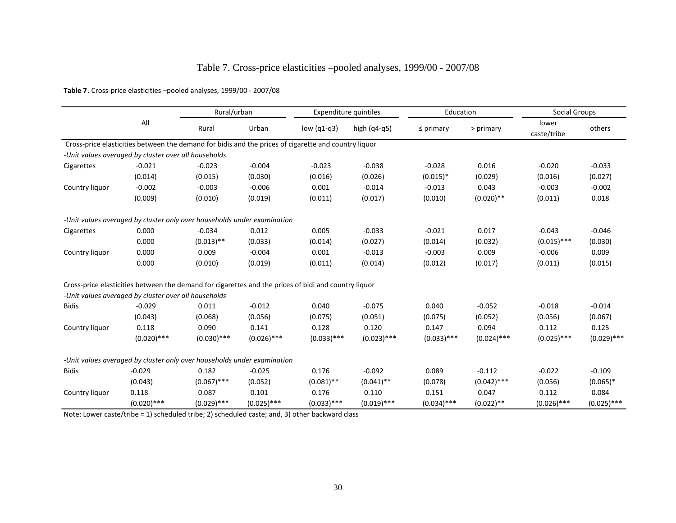# Table 7. Cross-price elasticities –pooled analyses, 1999/00 - 2007/08

**Table 7**. Cross‐price elasticities –pooled analyses, 1999/00 ‐ 2007/08

|                |                                                                                                      | Rural/urban   |               | Expenditure quintiles |                | Education      |               | Social Groups        |               |
|----------------|------------------------------------------------------------------------------------------------------|---------------|---------------|-----------------------|----------------|----------------|---------------|----------------------|---------------|
|                | All                                                                                                  | Rural         | Urban         | low $(q1-q3)$         | high $(q4-q5)$ | $\leq$ primary | > primary     | lower<br>caste/tribe | others        |
|                | Cross-price elasticities between the demand for bidis and the prices of cigarette and country liquor |               |               |                       |                |                |               |                      |               |
|                | -Unit values averaged by cluster over all households                                                 |               |               |                       |                |                |               |                      |               |
| Cigarettes     | $-0.021$                                                                                             | $-0.023$      | $-0.004$      | $-0.023$              | $-0.038$       | $-0.028$       | 0.016         | $-0.020$             | $-0.033$      |
|                | (0.014)                                                                                              | (0.015)       | (0.030)       | (0.016)               | (0.026)        | $(0.015)*$     | (0.029)       | (0.016)              | (0.027)       |
| Country liquor | $-0.002$                                                                                             | $-0.003$      | $-0.006$      | 0.001                 | $-0.014$       | $-0.013$       | 0.043         | $-0.003$             | $-0.002$      |
|                | (0.009)                                                                                              | (0.010)       | (0.019)       | (0.011)               | (0.017)        | (0.010)        | $(0.020)$ **  | (0.011)              | 0.018         |
|                | -Unit values averaged by cluster only over households under examination                              |               |               |                       |                |                |               |                      |               |
| Cigarettes     | 0.000                                                                                                | $-0.034$      | 0.012         | 0.005                 | $-0.033$       | $-0.021$       | 0.017         | $-0.043$             | $-0.046$      |
|                | 0.000                                                                                                | $(0.013)$ **  | (0.033)       | (0.014)               | (0.027)        | (0.014)        | (0.032)       | $(0.015)$ ***        | (0.030)       |
| Country liquor | 0.000                                                                                                | 0.009         | $-0.004$      | 0.001                 | $-0.013$       | $-0.003$       | 0.009         | $-0.006$             | 0.009         |
|                | 0.000                                                                                                | (0.010)       | (0.019)       | (0.011)               | (0.014)        | (0.012)        | (0.017)       | (0.011)              | (0.015)       |
|                | Cross-price elasticities between the demand for cigarettes and the prices of bidi and country liquor |               |               |                       |                |                |               |                      |               |
|                | -Unit values averaged by cluster over all households                                                 |               |               |                       |                |                |               |                      |               |
| <b>Bidis</b>   | $-0.029$                                                                                             | 0.011         | $-0.012$      | 0.040                 | $-0.075$       | 0.040          | $-0.052$      | $-0.018$             | $-0.014$      |
|                | (0.043)                                                                                              | (0.068)       | (0.056)       | (0.075)               | (0.051)        | (0.075)        | (0.052)       | (0.056)              | (0.067)       |
| Country liquor | 0.118                                                                                                | 0.090         | 0.141         | 0.128                 | 0.120          | 0.147          | 0.094         | 0.112                | 0.125         |
|                | $(0.020)$ ***                                                                                        | $(0.030)$ *** | $(0.026)$ *** | $(0.033)$ ***         | $(0.023)$ ***  | $(0.033)$ ***  | $(0.024)$ *** | $(0.025)$ ***        | $(0.029)$ *** |
|                | -Unit values averaged by cluster only over households under examination                              |               |               |                       |                |                |               |                      |               |
| <b>Bidis</b>   | $-0.029$                                                                                             | 0.182         | $-0.025$      | 0.176                 | $-0.092$       | 0.089          | $-0.112$      | $-0.022$             | $-0.109$      |
|                | (0.043)                                                                                              | $(0.067)$ *** | (0.052)       | $(0.081)$ **          | $(0.041)$ **   | (0.078)        | $(0.042)$ *** | (0.056)              | $(0.065)*$    |
| Country liquor | 0.118                                                                                                | 0.087         | 0.101         | 0.176                 | 0.110          | 0.151          | 0.047         | 0.112                | 0.084         |
|                | $(0.020)$ ***                                                                                        | $(0.029)$ *** | $(0.025)$ *** | $(0.033)$ ***         | $(0.019)$ ***  | $(0.034)$ ***  | $(0.022)$ **  | $(0.026)$ ***        | $(0.025)$ *** |

Note: Lower caste/tribe <sup>=</sup> 1) scheduled tribe; 2) scheduled caste; and, 3) other backward class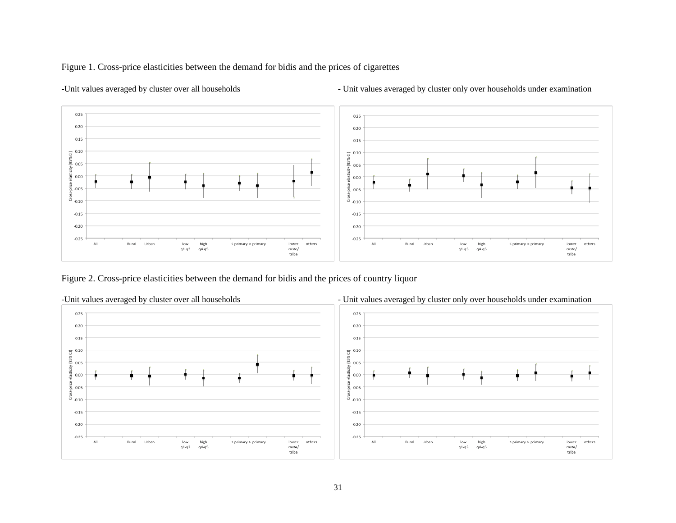### Figure 1. Cross-price elasticities between the demand for bidis and the prices of cigarettes



-Unit values averaged by cluster over all households - Unit values averaged by cluster only over households under examination

Figure 2. Cross-price elasticities between the demand for bidis and the prices of country liquor

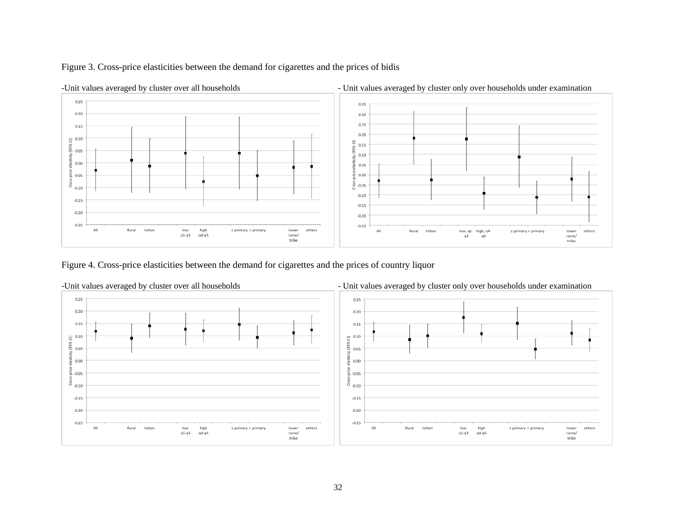



Figure 4. Cross-price elasticities between the demand for cigarettes and the prices of country liquor

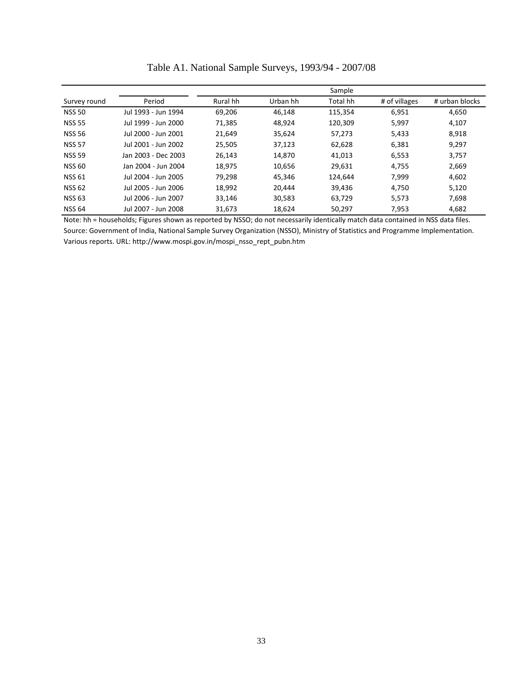|               |                     | Sample   |          |          |               |                |  |  |  |
|---------------|---------------------|----------|----------|----------|---------------|----------------|--|--|--|
| Survey round  | Period              | Rural hh | Urban hh | Total hh | # of villages | # urban blocks |  |  |  |
| <b>NSS 50</b> | Jul 1993 - Jun 1994 | 69,206   | 46.148   | 115,354  | 6,951         | 4,650          |  |  |  |
| <b>NSS 55</b> | Jul 1999 - Jun 2000 | 71.385   | 48.924   | 120.309  | 5,997         | 4,107          |  |  |  |
| <b>NSS 56</b> | Jul 2000 - Jun 2001 | 21,649   | 35,624   | 57,273   | 5,433         | 8,918          |  |  |  |
| <b>NSS 57</b> | Jul 2001 - Jun 2002 | 25,505   | 37,123   | 62,628   | 6,381         | 9,297          |  |  |  |
| <b>NSS 59</b> | Jan 2003 - Dec 2003 | 26,143   | 14,870   | 41,013   | 6,553         | 3,757          |  |  |  |
| <b>NSS 60</b> | Jan 2004 - Jun 2004 | 18,975   | 10,656   | 29,631   | 4,755         | 2,669          |  |  |  |
| <b>NSS 61</b> | Jul 2004 - Jun 2005 | 79,298   | 45,346   | 124.644  | 7,999         | 4,602          |  |  |  |
| <b>NSS 62</b> | Jul 2005 - Jun 2006 | 18,992   | 20.444   | 39,436   | 4,750         | 5,120          |  |  |  |
| <b>NSS 63</b> | Jul 2006 - Jun 2007 | 33.146   | 30,583   | 63,729   | 5,573         | 7,698          |  |  |  |
| <b>NSS 64</b> | Jul 2007 - Jun 2008 | 31,673   | 18.624   | 50,297   | 7,953         | 4,682          |  |  |  |

Table A1. National Sample Surveys, 1993/94 - 2007/08

Note: hh = households; Figures shown as reported by NSSO; do not necessarily identically match data contained in NSS data files. Source: Government of India, National Sample Survey Organization (NSSO), Ministry of Statistics and Programme Implementation. Various reports. URL: http://www.mospi.gov.in/mospi\_nsso\_rept\_pubn.htm